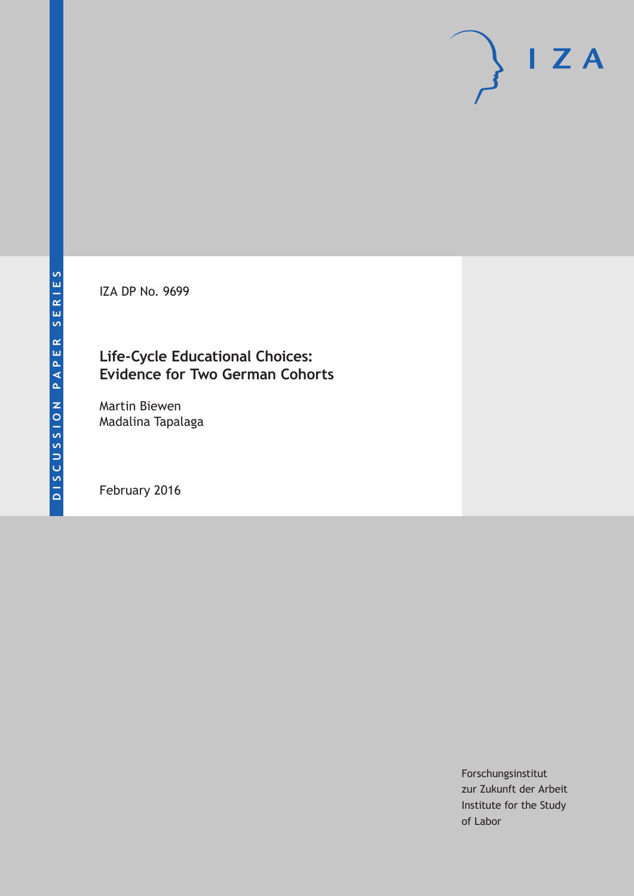IZA DP No. 9699

### **Life-Cycle Educational Choices: Evidence for Two German Cohorts**

Martin Biewen Madalina Tapalaga

February 2016

Forschungsinstitut zur Zukunft der Arbeit Institute for the Study of Labor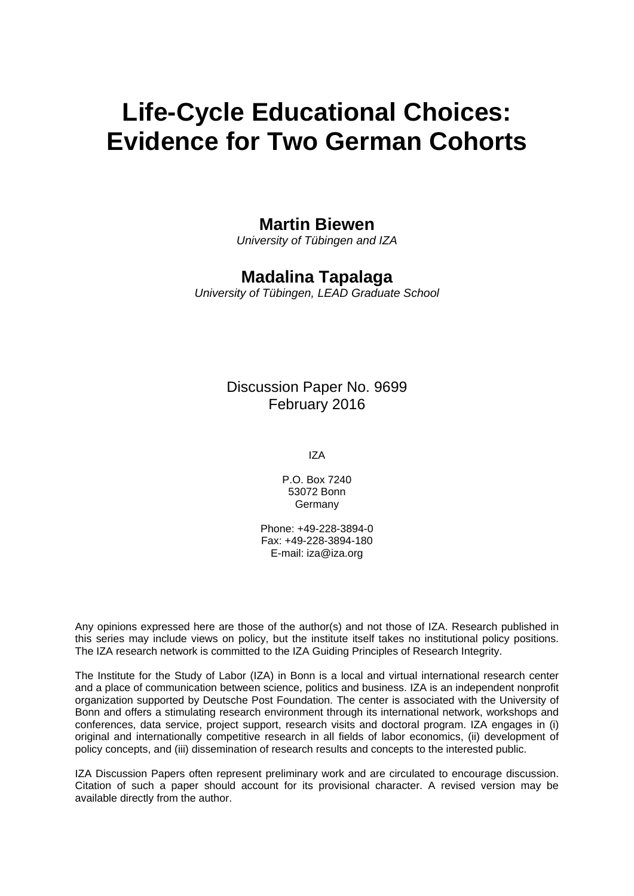# **Life-Cycle Educational Choices: Evidence for Two German Cohorts**

### **Martin Biewen**

*University of Tübingen and IZA* 

### **Madalina Tapalaga**

*University of Tübingen, LEAD Graduate School* 

### Discussion Paper No. 9699 February 2016

IZA

P.O. Box 7240 53072 Bonn Germany

Phone: +49-228-3894-0 Fax: +49-228-3894-180 E-mail: iza@iza.org

Any opinions expressed here are those of the author(s) and not those of IZA. Research published in this series may include views on policy, but the institute itself takes no institutional policy positions. The IZA research network is committed to the IZA Guiding Principles of Research Integrity.

The Institute for the Study of Labor (IZA) in Bonn is a local and virtual international research center and a place of communication between science, politics and business. IZA is an independent nonprofit organization supported by Deutsche Post Foundation. The center is associated with the University of Bonn and offers a stimulating research environment through its international network, workshops and conferences, data service, project support, research visits and doctoral program. IZA engages in (i) original and internationally competitive research in all fields of labor economics, (ii) development of policy concepts, and (iii) dissemination of research results and concepts to the interested public.

IZA Discussion Papers often represent preliminary work and are circulated to encourage discussion. Citation of such a paper should account for its provisional character. A revised version may be available directly from the author.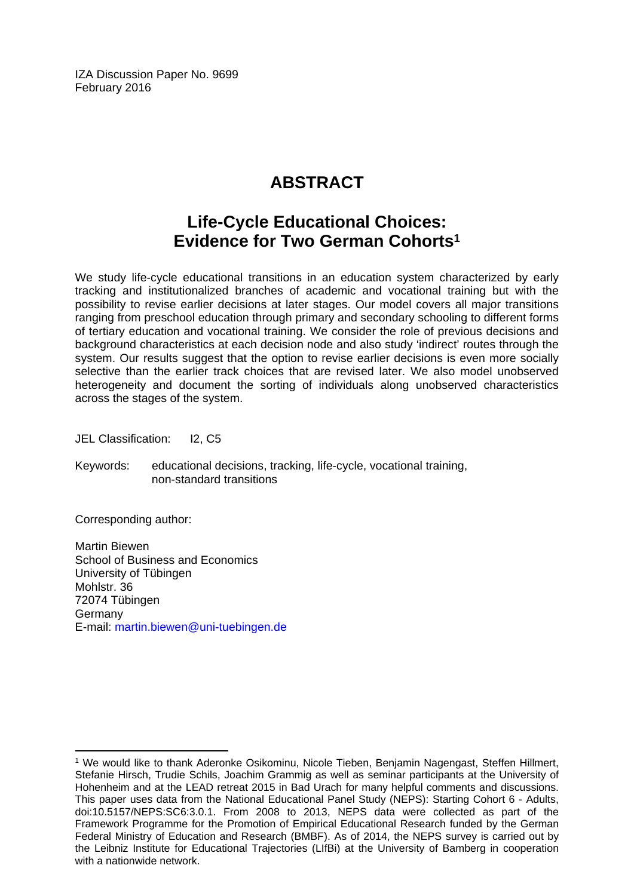IZA Discussion Paper No. 9699 February 2016

### **ABSTRACT**

### **Life-Cycle Educational Choices: Evidence for Two German Cohorts1**

We study life-cycle educational transitions in an education system characterized by early tracking and institutionalized branches of academic and vocational training but with the possibility to revise earlier decisions at later stages. Our model covers all major transitions ranging from preschool education through primary and secondary schooling to different forms of tertiary education and vocational training. We consider the role of previous decisions and background characteristics at each decision node and also study 'indirect' routes through the system. Our results suggest that the option to revise earlier decisions is even more socially selective than the earlier track choices that are revised later. We also model unobserved heterogeneity and document the sorting of individuals along unobserved characteristics across the stages of the system.

JEL Classification: I2, C5

Keywords: educational decisions, tracking, life-cycle, vocational training, non-standard transitions

Corresponding author:

 $\overline{a}$ 

Martin Biewen School of Business and Economics University of Tübingen Mohlstr. 36 72074 Tübingen Germany E-mail: martin.biewen@uni-tuebingen.de

<sup>&</sup>lt;sup>1</sup> We would like to thank Aderonke Osikominu, Nicole Tieben, Benjamin Nagengast, Steffen Hillmert, Stefanie Hirsch, Trudie Schils, Joachim Grammig as well as seminar participants at the University of Hohenheim and at the LEAD retreat 2015 in Bad Urach for many helpful comments and discussions. This paper uses data from the National Educational Panel Study (NEPS): Starting Cohort 6 - Adults, doi:10.5157/NEPS:SC6:3.0.1. From 2008 to 2013, NEPS data were collected as part of the Framework Programme for the Promotion of Empirical Educational Research funded by the German Federal Ministry of Education and Research (BMBF). As of 2014, the NEPS survey is carried out by the Leibniz Institute for Educational Trajectories (LIfBi) at the University of Bamberg in cooperation with a nationwide network.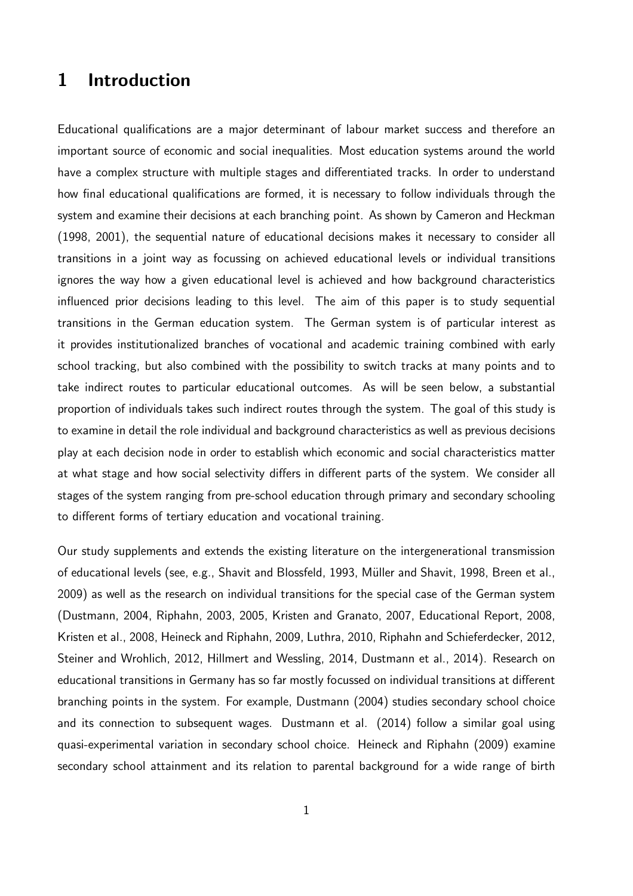### 1 Introduction

Educational qualifications are a major determinant of labour market success and therefore an important source of economic and social inequalities. Most education systems around the world have a complex structure with multiple stages and differentiated tracks. In order to understand how final educational qualifications are formed, it is necessary to follow individuals through the system and examine their decisions at each branching point. As shown by Cameron and Heckman (1998, 2001), the sequential nature of educational decisions makes it necessary to consider all transitions in a joint way as focussing on achieved educational levels or individual transitions ignores the way how a given educational level is achieved and how background characteristics influenced prior decisions leading to this level. The aim of this paper is to study sequential transitions in the German education system. The German system is of particular interest as it provides institutionalized branches of vocational and academic training combined with early school tracking, but also combined with the possibility to switch tracks at many points and to take indirect routes to particular educational outcomes. As will be seen below, a substantial proportion of individuals takes such indirect routes through the system. The goal of this study is to examine in detail the role individual and background characteristics as well as previous decisions play at each decision node in order to establish which economic and social characteristics matter at what stage and how social selectivity differs in different parts of the system. We consider all stages of the system ranging from pre-school education through primary and secondary schooling to different forms of tertiary education and vocational training.

Our study supplements and extends the existing literature on the intergenerational transmission of educational levels (see, e.g., Shavit and Blossfeld, 1993, M¨uller and Shavit, 1998, Breen et al., 2009) as well as the research on individual transitions for the special case of the German system (Dustmann, 2004, Riphahn, 2003, 2005, Kristen and Granato, 2007, Educational Report, 2008, Kristen et al., 2008, Heineck and Riphahn, 2009, Luthra, 2010, Riphahn and Schieferdecker, 2012, Steiner and Wrohlich, 2012, Hillmert and Wessling, 2014, Dustmann et al., 2014). Research on educational transitions in Germany has so far mostly focussed on individual transitions at different branching points in the system. For example, Dustmann (2004) studies secondary school choice and its connection to subsequent wages. Dustmann et al. (2014) follow a similar goal using quasi-experimental variation in secondary school choice. Heineck and Riphahn (2009) examine secondary school attainment and its relation to parental background for a wide range of birth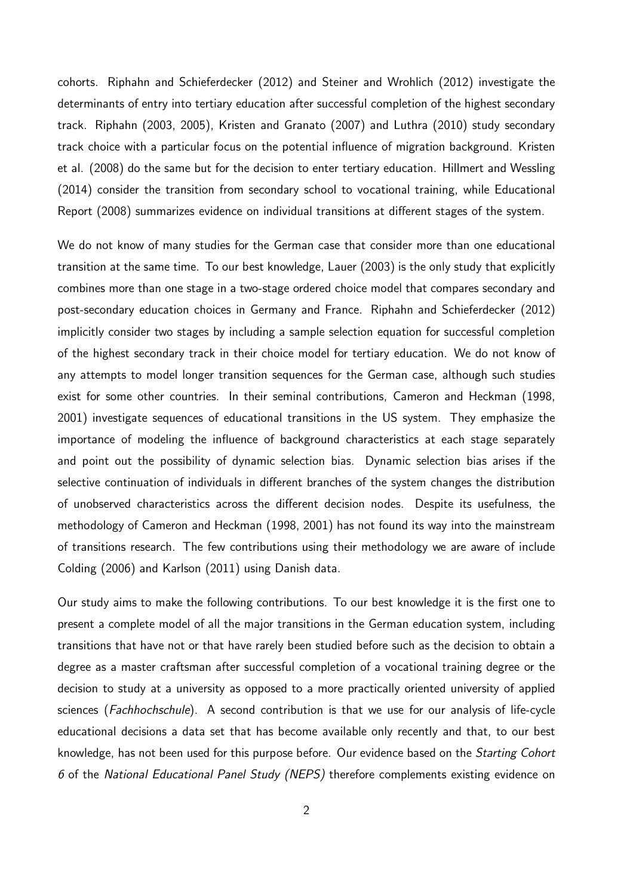cohorts. Riphahn and Schieferdecker (2012) and Steiner and Wrohlich (2012) investigate the determinants of entry into tertiary education after successful completion of the highest secondary track. Riphahn (2003, 2005), Kristen and Granato (2007) and Luthra (2010) study secondary track choice with a particular focus on the potential influence of migration background. Kristen et al. (2008) do the same but for the decision to enter tertiary education. Hillmert and Wessling (2014) consider the transition from secondary school to vocational training, while Educational Report (2008) summarizes evidence on individual transitions at different stages of the system.

We do not know of many studies for the German case that consider more than one educational transition at the same time. To our best knowledge, Lauer (2003) is the only study that explicitly combines more than one stage in a two-stage ordered choice model that compares secondary and post-secondary education choices in Germany and France. Riphahn and Schieferdecker (2012) implicitly consider two stages by including a sample selection equation for successful completion of the highest secondary track in their choice model for tertiary education. We do not know of any attempts to model longer transition sequences for the German case, although such studies exist for some other countries. In their seminal contributions, Cameron and Heckman (1998, 2001) investigate sequences of educational transitions in the US system. They emphasize the importance of modeling the influence of background characteristics at each stage separately and point out the possibility of dynamic selection bias. Dynamic selection bias arises if the selective continuation of individuals in different branches of the system changes the distribution of unobserved characteristics across the different decision nodes. Despite its usefulness, the methodology of Cameron and Heckman (1998, 2001) has not found its way into the mainstream of transitions research. The few contributions using their methodology we are aware of include Colding (2006) and Karlson (2011) using Danish data.

Our study aims to make the following contributions. To our best knowledge it is the first one to present a complete model of all the major transitions in the German education system, including transitions that have not or that have rarely been studied before such as the decision to obtain a degree as a master craftsman after successful completion of a vocational training degree or the decision to study at a university as opposed to a more practically oriented university of applied sciences (*Fachhochschule*). A second contribution is that we use for our analysis of life-cycle educational decisions a data set that has become available only recently and that, to our best knowledge, has not been used for this purpose before. Our evidence based on the *Starting Cohort 6* of the *National Educational Panel Study (NEPS)* therefore complements existing evidence on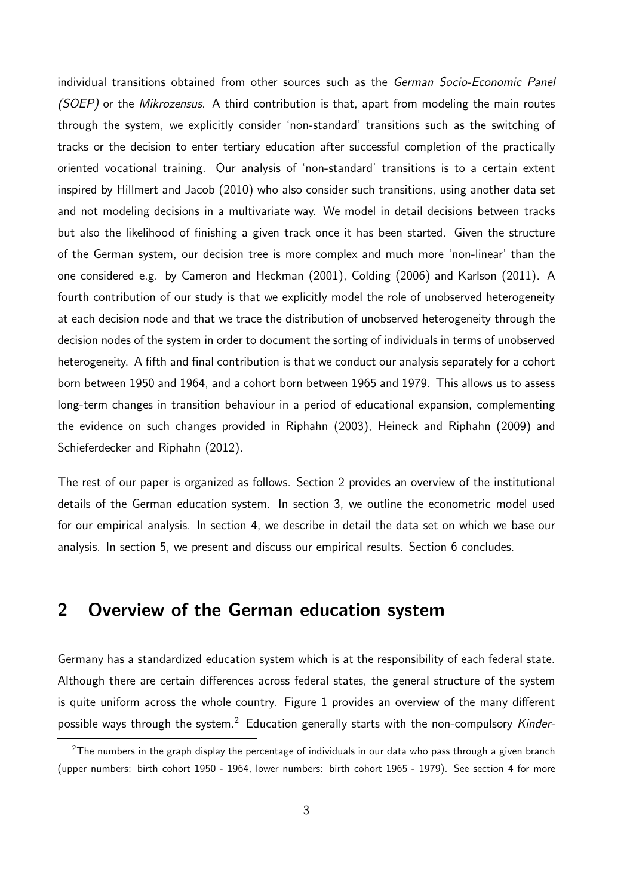individual transitions obtained from other sources such as the *German Socio-Economic Panel (SOEP)* or the *Mikrozensus*. A third contribution is that, apart from modeling the main routes through the system, we explicitly consider 'non-standard' transitions such as the switching of tracks or the decision to enter tertiary education after successful completion of the practically oriented vocational training. Our analysis of 'non-standard' transitions is to a certain extent inspired by Hillmert and Jacob (2010) who also consider such transitions, using another data set and not modeling decisions in a multivariate way. We model in detail decisions between tracks but also the likelihood of finishing a given track once it has been started. Given the structure of the German system, our decision tree is more complex and much more 'non-linear' than the one considered e.g. by Cameron and Heckman (2001), Colding (2006) and Karlson (2011). A fourth contribution of our study is that we explicitly model the role of unobserved heterogeneity at each decision node and that we trace the distribution of unobserved heterogeneity through the decision nodes of the system in order to document the sorting of individuals in terms of unobserved heterogeneity. A fifth and final contribution is that we conduct our analysis separately for a cohort born between 1950 and 1964, and a cohort born between 1965 and 1979. This allows us to assess long-term changes in transition behaviour in a period of educational expansion, complementing the evidence on such changes provided in Riphahn (2003), Heineck and Riphahn (2009) and Schieferdecker and Riphahn (2012).

The rest of our paper is organized as follows. Section 2 provides an overview of the institutional details of the German education system. In section 3, we outline the econometric model used for our empirical analysis. In section 4, we describe in detail the data set on which we base our analysis. In section 5, we present and discuss our empirical results. Section 6 concludes.

### 2 Overview of the German education system

Germany has a standardized education system which is at the responsibility of each federal state. Although there are certain differences across federal states, the general structure of the system is quite uniform across the whole country. Figure 1 provides an overview of the many different possible ways through the system.<sup>2</sup> Education generally starts with the non-compulsory *Kinder-*

 $2$ The numbers in the graph display the percentage of individuals in our data who pass through a given branch (upper numbers: birth cohort 1950 - 1964, lower numbers: birth cohort 1965 - 1979). See section 4 for more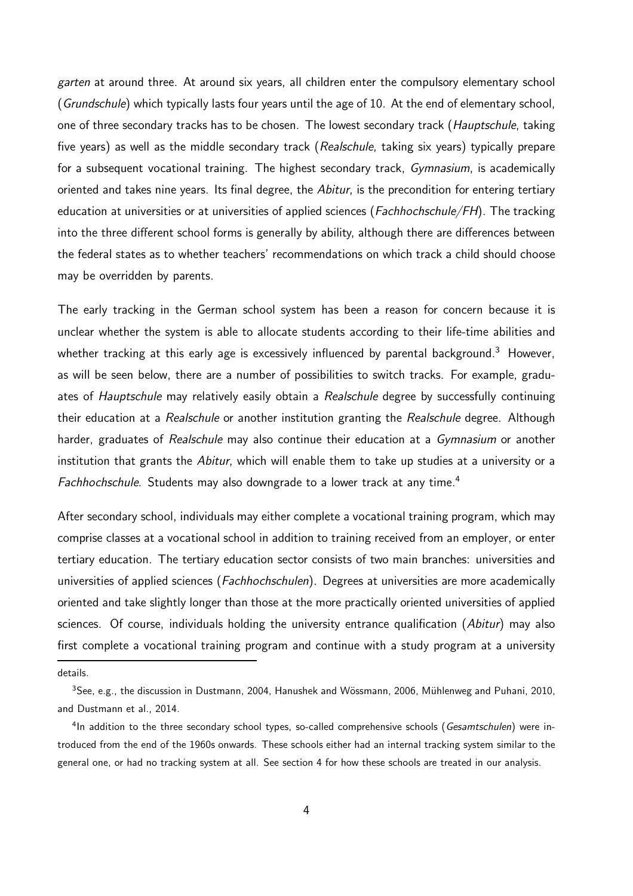*garten* at around three. At around six years, all children enter the compulsory elementary school (*Grundschule*) which typically lasts four years until the age of 10. At the end of elementary school, one of three secondary tracks has to be chosen. The lowest secondary track (*Hauptschule*, taking five years) as well as the middle secondary track (*Realschule*, taking six years) typically prepare for a subsequent vocational training. The highest secondary track, *Gymnasium*, is academically oriented and takes nine years. Its final degree, the *Abitur*, is the precondition for entering tertiary education at universities or at universities of applied sciences (*Fachhochschule/FH*). The tracking into the three different school forms is generally by ability, although there are differences between the federal states as to whether teachers' recommendations on which track a child should choose may be overridden by parents.

The early tracking in the German school system has been a reason for concern because it is unclear whether the system is able to allocate students according to their life-time abilities and whether tracking at this early age is excessively influenced by parental background.<sup>3</sup> However, as will be seen below, there are a number of possibilities to switch tracks. For example, graduates of *Hauptschule* may relatively easily obtain a *Realschule* degree by successfully continuing their education at a *Realschule* or another institution granting the *Realschule* degree. Although harder, graduates of *Realschule* may also continue their education at a *Gymnasium* or another institution that grants the *Abitur*, which will enable them to take up studies at a university or a *Fachhochschule*. Students may also downgrade to a lower track at any time.<sup>4</sup>

After secondary school, individuals may either complete a vocational training program, which may comprise classes at a vocational school in addition to training received from an employer, or enter tertiary education. The tertiary education sector consists of two main branches: universities and universities of applied sciences (*Fachhochschulen*). Degrees at universities are more academically oriented and take slightly longer than those at the more practically oriented universities of applied sciences. Of course, individuals holding the university entrance qualification (*Abitur*) may also first complete a vocational training program and continue with a study program at a university

details.

 $3$ See, e.g., the discussion in Dustmann, 2004, Hanushek and Wössmann, 2006, Mühlenweg and Puhani, 2010, and Dustmann et al., 2014.

<sup>&</sup>lt;sup>4</sup>In addition to the three secondary school types, so-called comprehensive schools (Gesamtschulen) were introduced from the end of the 1960s onwards. These schools either had an internal tracking system similar to the general one, or had no tracking system at all. See section 4 for how these schools are treated in our analysis.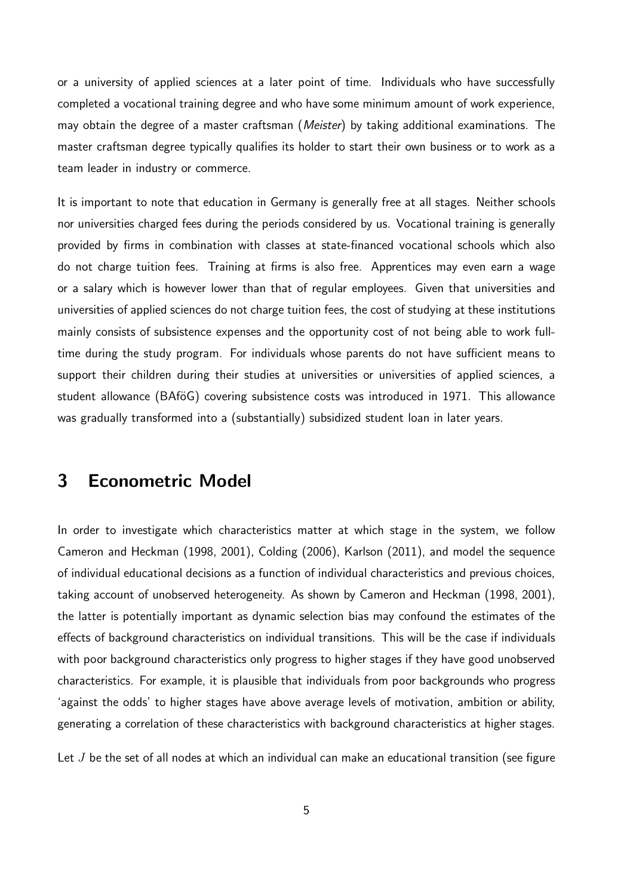or a university of applied sciences at a later point of time. Individuals who have successfully completed a vocational training degree and who have some minimum amount of work experience, may obtain the degree of a master craftsman (*Meister*) by taking additional examinations. The master craftsman degree typically qualifies its holder to start their own business or to work as a team leader in industry or commerce.

It is important to note that education in Germany is generally free at all stages. Neither schools nor universities charged fees during the periods considered by us. Vocational training is generally provided by firms in combination with classes at state-financed vocational schools which also do not charge tuition fees. Training at firms is also free. Apprentices may even earn a wage or a salary which is however lower than that of regular employees. Given that universities and universities of applied sciences do not charge tuition fees, the cost of studying at these institutions mainly consists of subsistence expenses and the opportunity cost of not being able to work fulltime during the study program. For individuals whose parents do not have sufficient means to support their children during their studies at universities or universities of applied sciences, a student allowance (BAföG) covering subsistence costs was introduced in 1971. This allowance was gradually transformed into a (substantially) subsidized student loan in later years.

### 3 Econometric Model

In order to investigate which characteristics matter at which stage in the system, we follow Cameron and Heckman (1998, 2001), Colding (2006), Karlson (2011), and model the sequence of individual educational decisions as a function of individual characteristics and previous choices, taking account of unobserved heterogeneity. As shown by Cameron and Heckman (1998, 2001), the latter is potentially important as dynamic selection bias may confound the estimates of the effects of background characteristics on individual transitions. This will be the case if individuals with poor background characteristics only progress to higher stages if they have good unobserved characteristics. For example, it is plausible that individuals from poor backgrounds who progress 'against the odds' to higher stages have above average levels of motivation, ambition or ability, generating a correlation of these characteristics with background characteristics at higher stages.

Let  $J$  be the set of all nodes at which an individual can make an educational transition (see figure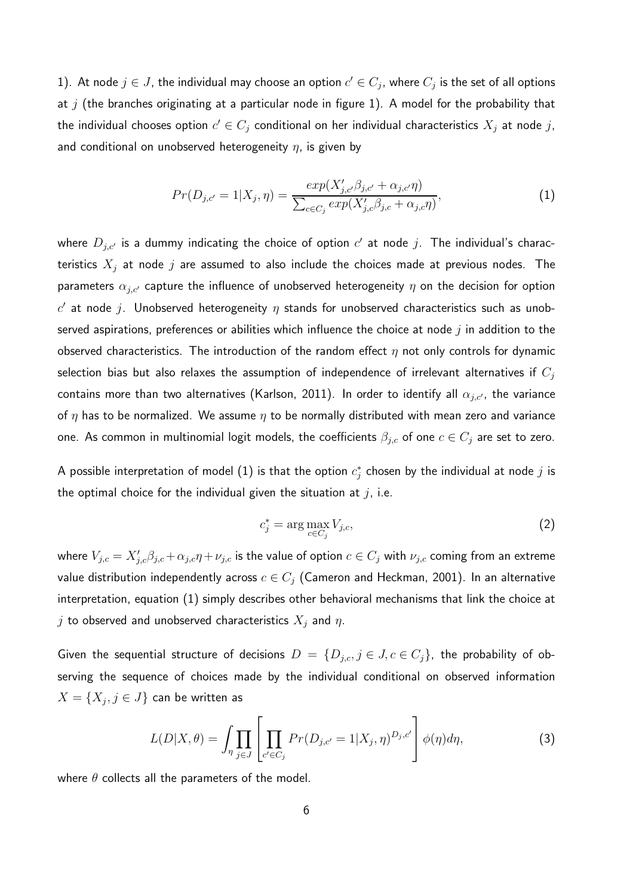1). At node  $j \in J$ , the individual may choose an option  $c' \in C_j$ , where  $C_j$  is the set of all options at j (the branches originating at a particular node in figure 1). A model for the probability that the individual chooses option  $c' \in C_j$  conditional on her individual characteristics  $X_j$  at node  $j$ , and conditional on unobserved heterogeneity  $\eta$ , is given by

$$
Pr(D_{j,c'} = 1 | X_j, \eta) = \frac{exp(X'_{j,c'}\beta_{j,c'} + \alpha_{j,c'}\eta)}{\sum_{c \in C_j} exp(X'_{j,c}\beta_{j,c} + \alpha_{j,c}\eta)},
$$
\n(1)

where  $D_{j,c'}$  is a dummy indicating the choice of option  $c'$  at node  $j$ . The individual's characteristics  $X_j$  at node j are assumed to also include the choices made at previous nodes. The parameters  $\alpha_{j,c'}$  capture the influence of unobserved heterogeneity  $\eta$  on the decision for option  $c'$  at node  $j$ . Unobserved heterogeneity  $\eta$  stands for unobserved characteristics such as unobserved aspirations, preferences or abilities which influence the choice at node  $j$  in addition to the observed characteristics. The introduction of the random effect  $\eta$  not only controls for dynamic selection bias but also relaxes the assumption of independence of irrelevant alternatives if  $C_i$ contains more than two alternatives (Karlson, 2011). In order to identify all  $\alpha_{i,c'}$ , the variance of  $\eta$  has to be normalized. We assume  $\eta$  to be normally distributed with mean zero and variance one. As common in multinomial logit models, the coefficients  $\beta_{j,c}$  of one  $c \in C_j$  are set to zero.

A possible interpretation of model  $(1)$  is that the option  $c_j^*$  $_j^\ast$  chosen by the individual at node  $j$  is the optimal choice for the individual given the situation at  $j$ , i.e.

$$
c_j^* = \arg\max_{c \in C_j} V_{j,c},\tag{2}
$$

where  $V_{j,c}=X_{j,c}'\beta_{j,c}+\alpha_{j,c}\eta+\nu_{j,c}$  is the value of option  $c\in C_j$  with  $\nu_{j,c}$  coming from an extreme value distribution independently across  $c \in C_i$  (Cameron and Heckman, 2001). In an alternative interpretation, equation (1) simply describes other behavioral mechanisms that link the choice at j to observed and unobserved characteristics  $X_j$  and  $\eta$ .

Given the sequential structure of decisions  $D = \{D_{j,c}, j \in J, c \in C_j\}$ , the probability of observing the sequence of choices made by the individual conditional on observed information  $X=\{X_j,j\in J\}$  can be written as

$$
L(D|X,\theta) = \int_{\eta} \prod_{j\in J} \left[ \prod_{c'\in C_j} Pr(D_{j,c'}=1|X_j,\eta)^{D_j,c'} \right] \phi(\eta)d\eta,
$$
 (3)

where  $\theta$  collects all the parameters of the model.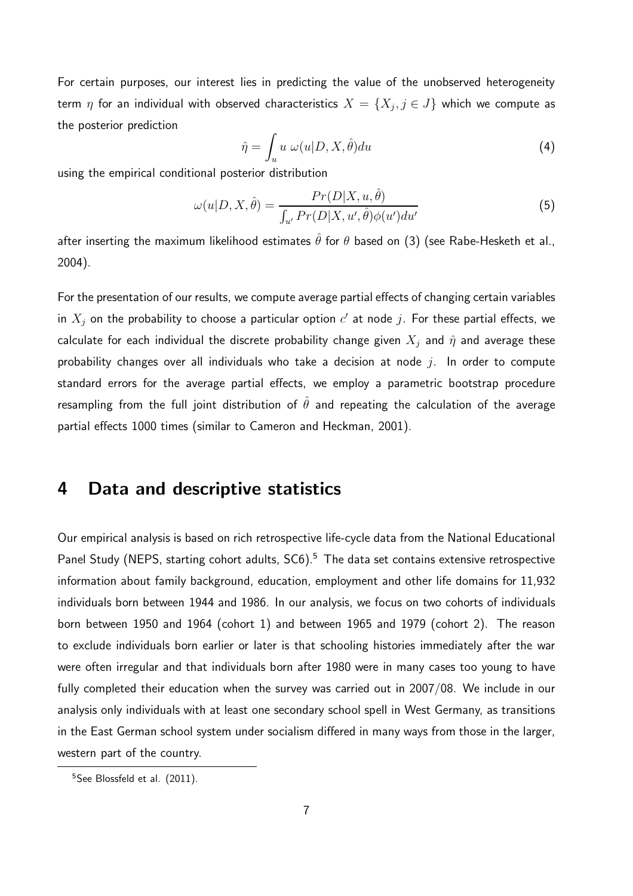For certain purposes, our interest lies in predicting the value of the unobserved heterogeneity term  $\eta$  for an individual with observed characteristics  $X=\{X_j,j\in J\}$  which we compute as the posterior prediction

$$
\hat{\eta} = \int_{u} u \; \omega(u|D, X, \hat{\theta}) du \tag{4}
$$

using the empirical conditional posterior distribution

$$
\omega(u|D, X, \hat{\theta}) = \frac{Pr(D|X, u, \hat{\theta})}{\int_{u'} Pr(D|X, u', \hat{\theta}) \phi(u') du'}
$$
(5)

after inserting the maximum likelihood estimates  $\hat{\theta}$  for  $\theta$  based on (3) (see Rabe-Hesketh et al., 2004).

For the presentation of our results, we compute average partial effects of changing certain variables in  $X_j$  on the probability to choose a particular option  $c^\prime$  at node  $j$ . For these partial effects, we calculate for each individual the discrete probability change given  $X_j$  and  $\hat{\eta}$  and average these probability changes over all individuals who take a decision at node  $j$ . In order to compute standard errors for the average partial effects, we employ a parametric bootstrap procedure resampling from the full joint distribution of  $\hat{\theta}$  and repeating the calculation of the average partial effects 1000 times (similar to Cameron and Heckman, 2001).

### 4 Data and descriptive statistics

Our empirical analysis is based on rich retrospective life-cycle data from the National Educational Panel Study (NEPS, starting cohort adults, SC6).<sup>5</sup> The data set contains extensive retrospective information about family background, education, employment and other life domains for 11,932 individuals born between 1944 and 1986. In our analysis, we focus on two cohorts of individuals born between 1950 and 1964 (cohort 1) and between 1965 and 1979 (cohort 2). The reason to exclude individuals born earlier or later is that schooling histories immediately after the war were often irregular and that individuals born after 1980 were in many cases too young to have fully completed their education when the survey was carried out in 2007/08. We include in our analysis only individuals with at least one secondary school spell in West Germany, as transitions in the East German school system under socialism differed in many ways from those in the larger, western part of the country.

<sup>&</sup>lt;sup>5</sup>See Blossfeld et al. (2011).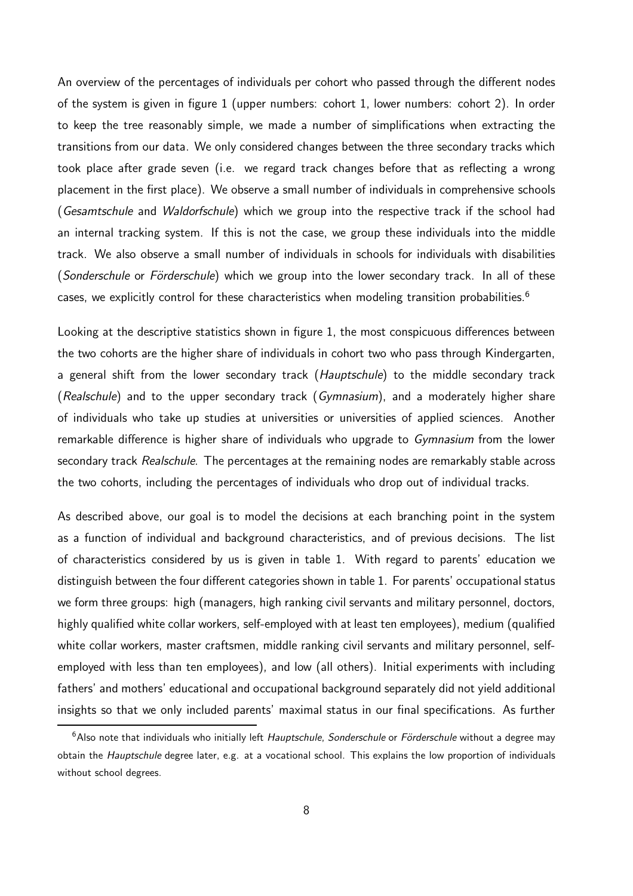An overview of the percentages of individuals per cohort who passed through the different nodes of the system is given in figure 1 (upper numbers: cohort 1, lower numbers: cohort 2). In order to keep the tree reasonably simple, we made a number of simplifications when extracting the transitions from our data. We only considered changes between the three secondary tracks which took place after grade seven (i.e. we regard track changes before that as reflecting a wrong placement in the first place). We observe a small number of individuals in comprehensive schools (*Gesamtschule* and *Waldorfschule*) which we group into the respective track if the school had an internal tracking system. If this is not the case, we group these individuals into the middle track. We also observe a small number of individuals in schools for individuals with disabilities (*Sonderschule* or *Förderschule*) which we group into the lower secondary track. In all of these cases, we explicitly control for these characteristics when modeling transition probabilities.<sup>6</sup>

Looking at the descriptive statistics shown in figure 1, the most conspicuous differences between the two cohorts are the higher share of individuals in cohort two who pass through Kindergarten, a general shift from the lower secondary track (*Hauptschule*) to the middle secondary track (*Realschule*) and to the upper secondary track (*Gymnasium*), and a moderately higher share of individuals who take up studies at universities or universities of applied sciences. Another remarkable difference is higher share of individuals who upgrade to *Gymnasium* from the lower secondary track *Realschule*. The percentages at the remaining nodes are remarkably stable across the two cohorts, including the percentages of individuals who drop out of individual tracks.

As described above, our goal is to model the decisions at each branching point in the system as a function of individual and background characteristics, and of previous decisions. The list of characteristics considered by us is given in table 1. With regard to parents' education we distinguish between the four different categories shown in table 1. For parents' occupational status we form three groups: high (managers, high ranking civil servants and military personnel, doctors, highly qualified white collar workers, self-employed with at least ten employees), medium (qualified white collar workers, master craftsmen, middle ranking civil servants and military personnel, selfemployed with less than ten employees), and low (all others). Initial experiments with including fathers' and mothers' educational and occupational background separately did not yield additional insights so that we only included parents' maximal status in our final specifications. As further

 $6A$ lso note that individuals who initially left Hauptschule, Sonderschule or Förderschule without a degree may obtain the Hauptschule degree later, e.g. at a vocational school. This explains the low proportion of individuals without school degrees.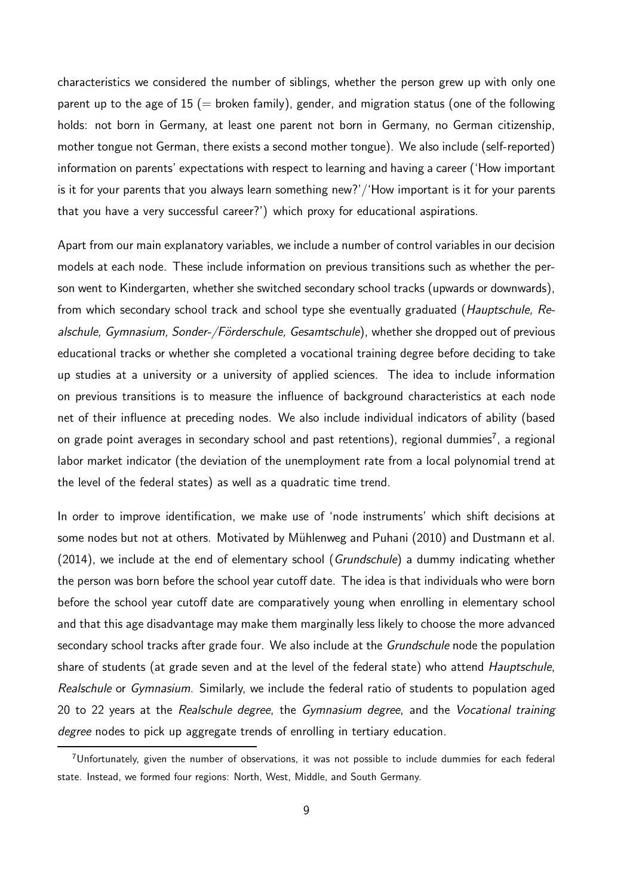characteristics we considered the number of siblings, whether the person grew up with only one parent up to the age of 15 ( $=$  broken family), gender, and migration status (one of the following holds: not born in Germany, at least one parent not born in Germany, no German citizenship, mother tongue not German, there exists a second mother tongue). We also include (self-reported) information on parents' expectations with respect to learning and having a career ('How important is it for your parents that you always learn something new?'/'How important is it for your parents that you have a very successful career?') which proxy for educational aspirations.

Apart from our main explanatory variables, we include a number of control variables in our decision models at each node. These include information on previous transitions such as whether the person went to Kindergarten, whether she switched secondary school tracks (upwards or downwards), from which secondary school track and school type she eventually graduated (*Hauptschule, Re*alschule, Gymnasium, Sonder-/Förderschule, Gesamtschule), whether she dropped out of previous educational tracks or whether she completed a vocational training degree before deciding to take up studies at a university or a university of applied sciences. The idea to include information on previous transitions is to measure the influence of background characteristics at each node net of their influence at preceding nodes. We also include individual indicators of ability (based on grade point averages in secondary school and past retentions), regional dummies<sup>7</sup>, a regional labor market indicator (the deviation of the unemployment rate from a local polynomial trend at the level of the federal states) as well as a quadratic time trend.

In order to improve identification, we make use of 'node instruments' which shift decisions at some nodes but not at others. Motivated by Mühlenweg and Puhani (2010) and Dustmann et al. (2014), we include at the end of elementary school (*Grundschule*) a dummy indicating whether the person was born before the school year cutoff date. The idea is that individuals who were born before the school year cutoff date are comparatively young when enrolling in elementary school and that this age disadvantage may make them marginally less likely to choose the more advanced secondary school tracks after grade four. We also include at the *Grundschule* node the population share of students (at grade seven and at the level of the federal state) who attend *Hauptschule*, *Realschule* or *Gymnasium*. Similarly, we include the federal ratio of students to population aged 20 to 22 years at the *Realschule degree*, the *Gymnasium degree*, and the *Vocational training degree* nodes to pick up aggregate trends of enrolling in tertiary education.

<sup>7</sup>Unfortunately, given the number of observations, it was not possible to include dummies for each federal state. Instead, we formed four regions: North, West, Middle, and South Germany.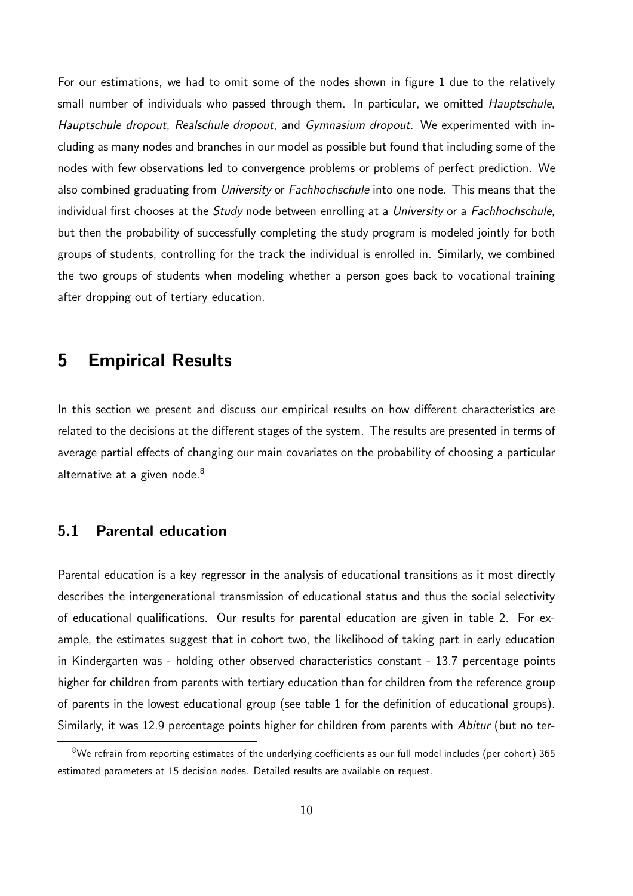For our estimations, we had to omit some of the nodes shown in figure 1 due to the relatively small number of individuals who passed through them. In particular, we omitted *Hauptschule*, *Hauptschule dropout*, *Realschule dropout*, and *Gymnasium dropout*. We experimented with including as many nodes and branches in our model as possible but found that including some of the nodes with few observations led to convergence problems or problems of perfect prediction. We also combined graduating from *University* or *Fachhochschule* into one node. This means that the individual first chooses at the *Study* node between enrolling at a *University* or a *Fachhochschule*, but then the probability of successfully completing the study program is modeled jointly for both groups of students, controlling for the track the individual is enrolled in. Similarly, we combined the two groups of students when modeling whether a person goes back to vocational training after dropping out of tertiary education.

### 5 Empirical Results

In this section we present and discuss our empirical results on how different characteristics are related to the decisions at the different stages of the system. The results are presented in terms of average partial effects of changing our main covariates on the probability of choosing a particular alternative at a given node.<sup>8</sup>

#### 5.1 Parental education

Parental education is a key regressor in the analysis of educational transitions as it most directly describes the intergenerational transmission of educational status and thus the social selectivity of educational qualifications. Our results for parental education are given in table 2. For example, the estimates suggest that in cohort two, the likelihood of taking part in early education in Kindergarten was - holding other observed characteristics constant - 13.7 percentage points higher for children from parents with tertiary education than for children from the reference group of parents in the lowest educational group (see table 1 for the definition of educational groups). Similarly, it was 12.9 percentage points higher for children from parents with *Abitur* (but no ter-

 $8$ We refrain from reporting estimates of the underlying coefficients as our full model includes (per cohort) 365 estimated parameters at 15 decision nodes. Detailed results are available on request.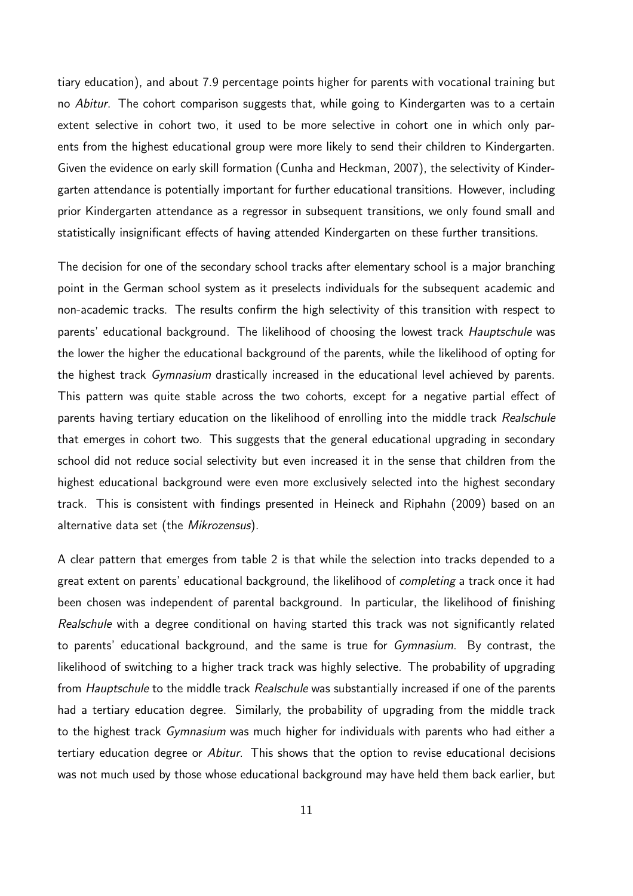tiary education), and about 7.9 percentage points higher for parents with vocational training but no *Abitur*. The cohort comparison suggests that, while going to Kindergarten was to a certain extent selective in cohort two, it used to be more selective in cohort one in which only parents from the highest educational group were more likely to send their children to Kindergarten. Given the evidence on early skill formation (Cunha and Heckman, 2007), the selectivity of Kindergarten attendance is potentially important for further educational transitions. However, including prior Kindergarten attendance as a regressor in subsequent transitions, we only found small and statistically insignificant effects of having attended Kindergarten on these further transitions.

The decision for one of the secondary school tracks after elementary school is a major branching point in the German school system as it preselects individuals for the subsequent academic and non-academic tracks. The results confirm the high selectivity of this transition with respect to parents' educational background. The likelihood of choosing the lowest track *Hauptschule* was the lower the higher the educational background of the parents, while the likelihood of opting for the highest track *Gymnasium* drastically increased in the educational level achieved by parents. This pattern was quite stable across the two cohorts, except for a negative partial effect of parents having tertiary education on the likelihood of enrolling into the middle track *Realschule* that emerges in cohort two. This suggests that the general educational upgrading in secondary school did not reduce social selectivity but even increased it in the sense that children from the highest educational background were even more exclusively selected into the highest secondary track. This is consistent with findings presented in Heineck and Riphahn (2009) based on an alternative data set (the *Mikrozensus*).

A clear pattern that emerges from table 2 is that while the selection into tracks depended to a great extent on parents' educational background, the likelihood of *completing* a track once it had been chosen was independent of parental background. In particular, the likelihood of finishing *Realschule* with a degree conditional on having started this track was not significantly related to parents' educational background, and the same is true for *Gymnasium*. By contrast, the likelihood of switching to a higher track track was highly selective. The probability of upgrading from *Hauptschule* to the middle track *Realschule* was substantially increased if one of the parents had a tertiary education degree. Similarly, the probability of upgrading from the middle track to the highest track *Gymnasium* was much higher for individuals with parents who had either a tertiary education degree or *Abitur*. This shows that the option to revise educational decisions was not much used by those whose educational background may have held them back earlier, but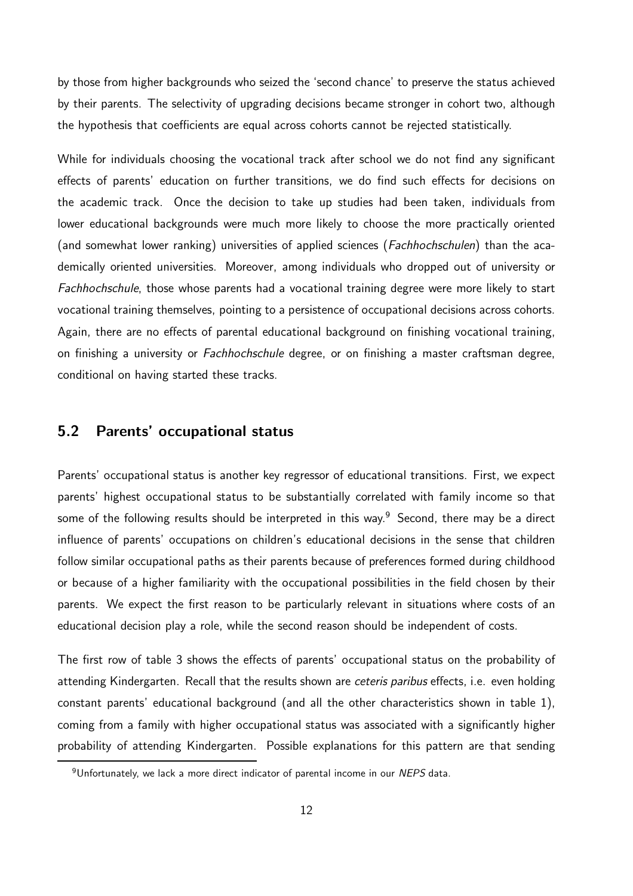by those from higher backgrounds who seized the 'second chance' to preserve the status achieved by their parents. The selectivity of upgrading decisions became stronger in cohort two, although the hypothesis that coefficients are equal across cohorts cannot be rejected statistically.

While for individuals choosing the vocational track after school we do not find any significant effects of parents' education on further transitions, we do find such effects for decisions on the academic track. Once the decision to take up studies had been taken, individuals from lower educational backgrounds were much more likely to choose the more practically oriented (and somewhat lower ranking) universities of applied sciences (*Fachhochschulen*) than the academically oriented universities. Moreover, among individuals who dropped out of university or *Fachhochschule*, those whose parents had a vocational training degree were more likely to start vocational training themselves, pointing to a persistence of occupational decisions across cohorts. Again, there are no effects of parental educational background on finishing vocational training, on finishing a university or *Fachhochschule* degree, or on finishing a master craftsman degree, conditional on having started these tracks.

#### 5.2 Parents' occupational status

Parents' occupational status is another key regressor of educational transitions. First, we expect parents' highest occupational status to be substantially correlated with family income so that some of the following results should be interpreted in this way.<sup>9</sup> Second, there may be a direct influence of parents' occupations on children's educational decisions in the sense that children follow similar occupational paths as their parents because of preferences formed during childhood or because of a higher familiarity with the occupational possibilities in the field chosen by their parents. We expect the first reason to be particularly relevant in situations where costs of an educational decision play a role, while the second reason should be independent of costs.

The first row of table 3 shows the effects of parents' occupational status on the probability of attending Kindergarten. Recall that the results shown are *ceteris paribus* effects, i.e. even holding constant parents' educational background (and all the other characteristics shown in table 1), coming from a family with higher occupational status was associated with a significantly higher probability of attending Kindergarten. Possible explanations for this pattern are that sending

<sup>&</sup>lt;sup>9</sup>Unfortunately, we lack a more direct indicator of parental income in our NEPS data.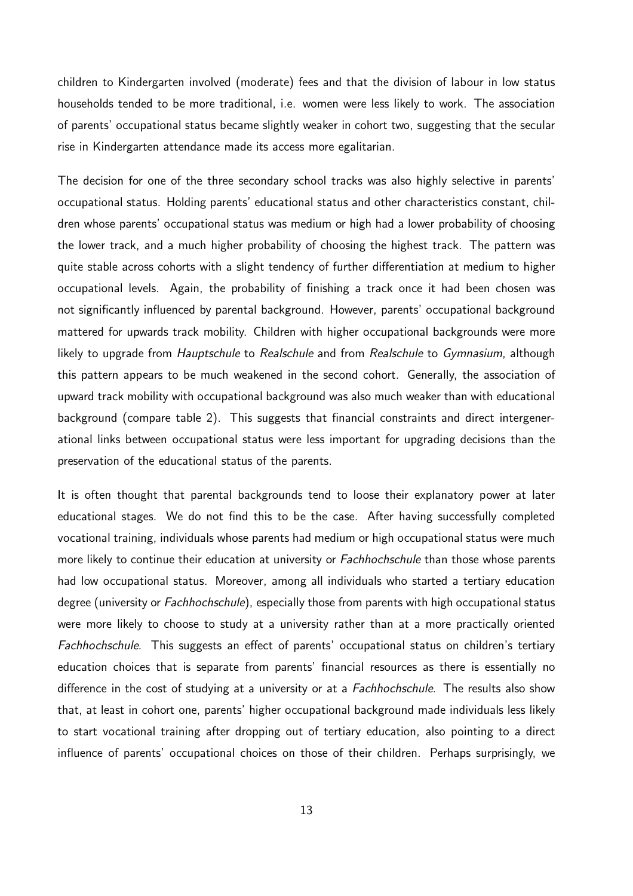children to Kindergarten involved (moderate) fees and that the division of labour in low status households tended to be more traditional, i.e. women were less likely to work. The association of parents' occupational status became slightly weaker in cohort two, suggesting that the secular rise in Kindergarten attendance made its access more egalitarian.

The decision for one of the three secondary school tracks was also highly selective in parents' occupational status. Holding parents' educational status and other characteristics constant, children whose parents' occupational status was medium or high had a lower probability of choosing the lower track, and a much higher probability of choosing the highest track. The pattern was quite stable across cohorts with a slight tendency of further differentiation at medium to higher occupational levels. Again, the probability of finishing a track once it had been chosen was not significantly influenced by parental background. However, parents' occupational background mattered for upwards track mobility. Children with higher occupational backgrounds were more likely to upgrade from *Hauptschule* to *Realschule* and from *Realschule* to *Gymnasium*, although this pattern appears to be much weakened in the second cohort. Generally, the association of upward track mobility with occupational background was also much weaker than with educational background (compare table 2). This suggests that financial constraints and direct intergenerational links between occupational status were less important for upgrading decisions than the preservation of the educational status of the parents.

It is often thought that parental backgrounds tend to loose their explanatory power at later educational stages. We do not find this to be the case. After having successfully completed vocational training, individuals whose parents had medium or high occupational status were much more likely to continue their education at university or *Fachhochschule* than those whose parents had low occupational status. Moreover, among all individuals who started a tertiary education degree (university or *Fachhochschule*), especially those from parents with high occupational status were more likely to choose to study at a university rather than at a more practically oriented *Fachhochschule*. This suggests an effect of parents' occupational status on children's tertiary education choices that is separate from parents' financial resources as there is essentially no difference in the cost of studying at a university or at a *Fachhochschule*. The results also show that, at least in cohort one, parents' higher occupational background made individuals less likely to start vocational training after dropping out of tertiary education, also pointing to a direct influence of parents' occupational choices on those of their children. Perhaps surprisingly, we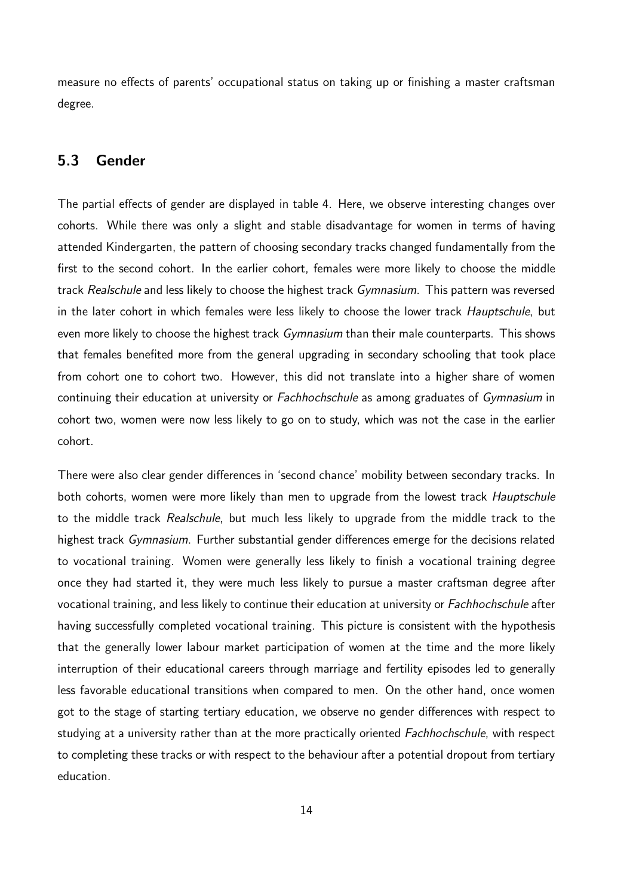measure no effects of parents' occupational status on taking up or finishing a master craftsman degree.

#### 5.3 Gender

The partial effects of gender are displayed in table 4. Here, we observe interesting changes over cohorts. While there was only a slight and stable disadvantage for women in terms of having attended Kindergarten, the pattern of choosing secondary tracks changed fundamentally from the first to the second cohort. In the earlier cohort, females were more likely to choose the middle track *Realschule* and less likely to choose the highest track *Gymnasium*. This pattern was reversed in the later cohort in which females were less likely to choose the lower track *Hauptschule*, but even more likely to choose the highest track *Gymnasium* than their male counterparts. This shows that females benefited more from the general upgrading in secondary schooling that took place from cohort one to cohort two. However, this did not translate into a higher share of women continuing their education at university or *Fachhochschule* as among graduates of *Gymnasium* in cohort two, women were now less likely to go on to study, which was not the case in the earlier cohort.

There were also clear gender differences in 'second chance' mobility between secondary tracks. In both cohorts, women were more likely than men to upgrade from the lowest track *Hauptschule* to the middle track *Realschule*, but much less likely to upgrade from the middle track to the highest track *Gymnasium*. Further substantial gender differences emerge for the decisions related to vocational training. Women were generally less likely to finish a vocational training degree once they had started it, they were much less likely to pursue a master craftsman degree after vocational training, and less likely to continue their education at university or *Fachhochschule* after having successfully completed vocational training. This picture is consistent with the hypothesis that the generally lower labour market participation of women at the time and the more likely interruption of their educational careers through marriage and fertility episodes led to generally less favorable educational transitions when compared to men. On the other hand, once women got to the stage of starting tertiary education, we observe no gender differences with respect to studying at a university rather than at the more practically oriented *Fachhochschule*, with respect to completing these tracks or with respect to the behaviour after a potential dropout from tertiary education.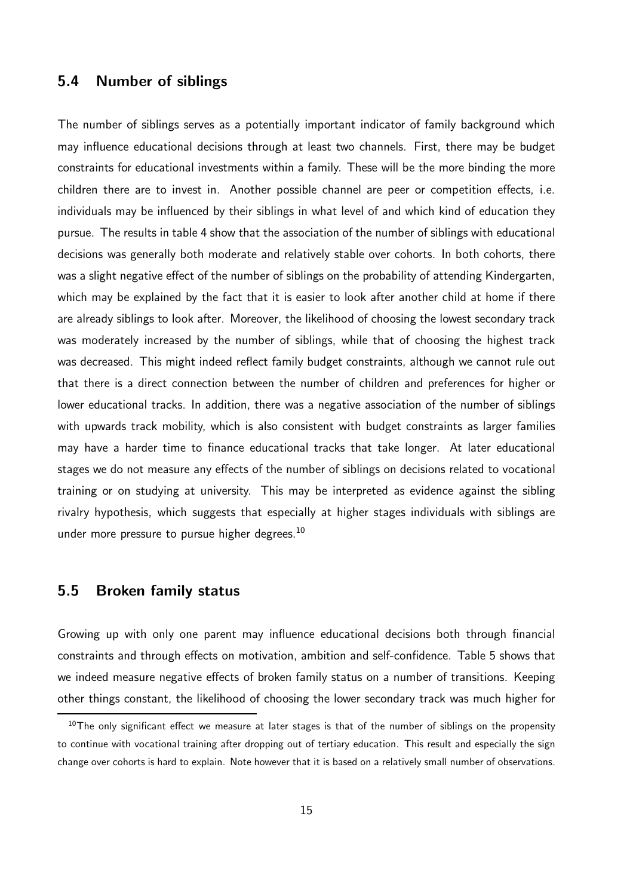#### 5.4 Number of siblings

The number of siblings serves as a potentially important indicator of family background which may influence educational decisions through at least two channels. First, there may be budget constraints for educational investments within a family. These will be the more binding the more children there are to invest in. Another possible channel are peer or competition effects, i.e. individuals may be influenced by their siblings in what level of and which kind of education they pursue. The results in table 4 show that the association of the number of siblings with educational decisions was generally both moderate and relatively stable over cohorts. In both cohorts, there was a slight negative effect of the number of siblings on the probability of attending Kindergarten, which may be explained by the fact that it is easier to look after another child at home if there are already siblings to look after. Moreover, the likelihood of choosing the lowest secondary track was moderately increased by the number of siblings, while that of choosing the highest track was decreased. This might indeed reflect family budget constraints, although we cannot rule out that there is a direct connection between the number of children and preferences for higher or lower educational tracks. In addition, there was a negative association of the number of siblings with upwards track mobility, which is also consistent with budget constraints as larger families may have a harder time to finance educational tracks that take longer. At later educational stages we do not measure any effects of the number of siblings on decisions related to vocational training or on studying at university. This may be interpreted as evidence against the sibling rivalry hypothesis, which suggests that especially at higher stages individuals with siblings are under more pressure to pursue higher degrees.<sup>10</sup>

#### 5.5 Broken family status

Growing up with only one parent may influence educational decisions both through financial constraints and through effects on motivation, ambition and self-confidence. Table 5 shows that we indeed measure negative effects of broken family status on a number of transitions. Keeping other things constant, the likelihood of choosing the lower secondary track was much higher for

 $10$ The only significant effect we measure at later stages is that of the number of siblings on the propensity to continue with vocational training after dropping out of tertiary education. This result and especially the sign change over cohorts is hard to explain. Note however that it is based on a relatively small number of observations.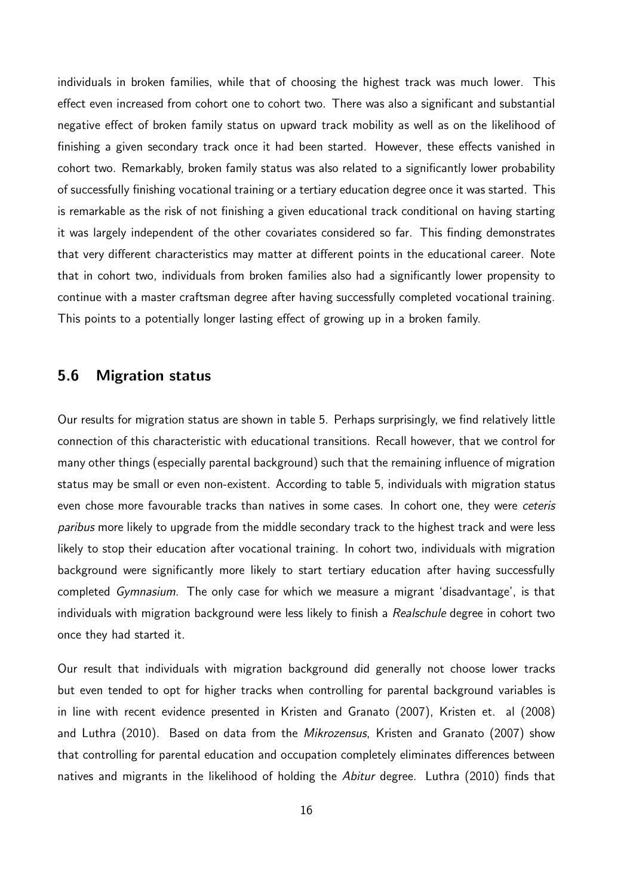individuals in broken families, while that of choosing the highest track was much lower. This effect even increased from cohort one to cohort two. There was also a significant and substantial negative effect of broken family status on upward track mobility as well as on the likelihood of finishing a given secondary track once it had been started. However, these effects vanished in cohort two. Remarkably, broken family status was also related to a significantly lower probability of successfully finishing vocational training or a tertiary education degree once it was started. This is remarkable as the risk of not finishing a given educational track conditional on having starting it was largely independent of the other covariates considered so far. This finding demonstrates that very different characteristics may matter at different points in the educational career. Note that in cohort two, individuals from broken families also had a significantly lower propensity to continue with a master craftsman degree after having successfully completed vocational training. This points to a potentially longer lasting effect of growing up in a broken family.

#### 5.6 Migration status

Our results for migration status are shown in table 5. Perhaps surprisingly, we find relatively little connection of this characteristic with educational transitions. Recall however, that we control for many other things (especially parental background) such that the remaining influence of migration status may be small or even non-existent. According to table 5, individuals with migration status even chose more favourable tracks than natives in some cases. In cohort one, they were *ceteris paribus* more likely to upgrade from the middle secondary track to the highest track and were less likely to stop their education after vocational training. In cohort two, individuals with migration background were significantly more likely to start tertiary education after having successfully completed *Gymnasium*. The only case for which we measure a migrant 'disadvantage', is that individuals with migration background were less likely to finish a *Realschule* degree in cohort two once they had started it.

Our result that individuals with migration background did generally not choose lower tracks but even tended to opt for higher tracks when controlling for parental background variables is in line with recent evidence presented in Kristen and Granato (2007), Kristen et. al (2008) and Luthra (2010). Based on data from the *Mikrozensus*, Kristen and Granato (2007) show that controlling for parental education and occupation completely eliminates differences between natives and migrants in the likelihood of holding the *Abitur* degree. Luthra (2010) finds that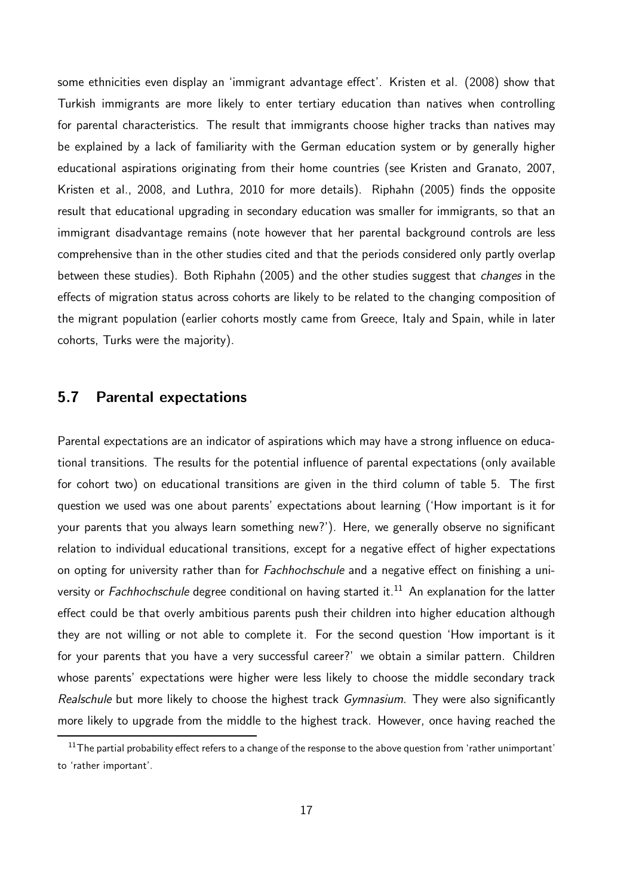some ethnicities even display an 'immigrant advantage effect'. Kristen et al. (2008) show that Turkish immigrants are more likely to enter tertiary education than natives when controlling for parental characteristics. The result that immigrants choose higher tracks than natives may be explained by a lack of familiarity with the German education system or by generally higher educational aspirations originating from their home countries (see Kristen and Granato, 2007, Kristen et al., 2008, and Luthra, 2010 for more details). Riphahn (2005) finds the opposite result that educational upgrading in secondary education was smaller for immigrants, so that an immigrant disadvantage remains (note however that her parental background controls are less comprehensive than in the other studies cited and that the periods considered only partly overlap between these studies). Both Riphahn (2005) and the other studies suggest that *changes* in the effects of migration status across cohorts are likely to be related to the changing composition of the migrant population (earlier cohorts mostly came from Greece, Italy and Spain, while in later cohorts, Turks were the majority).

#### 5.7 Parental expectations

Parental expectations are an indicator of aspirations which may have a strong influence on educational transitions. The results for the potential influence of parental expectations (only available for cohort two) on educational transitions are given in the third column of table 5. The first question we used was one about parents' expectations about learning ('How important is it for your parents that you always learn something new?'). Here, we generally observe no significant relation to individual educational transitions, except for a negative effect of higher expectations on opting for university rather than for *Fachhochschule* and a negative effect on finishing a university or *Fachhochschule* degree conditional on having started it.<sup>11</sup> An explanation for the latter effect could be that overly ambitious parents push their children into higher education although they are not willing or not able to complete it. For the second question 'How important is it for your parents that you have a very successful career?' we obtain a similar pattern. Children whose parents' expectations were higher were less likely to choose the middle secondary track *Realschule* but more likely to choose the highest track *Gymnasium*. They were also significantly more likely to upgrade from the middle to the highest track. However, once having reached the

 $11$ The partial probability effect refers to a change of the response to the above question from 'rather unimportant' to 'rather important'.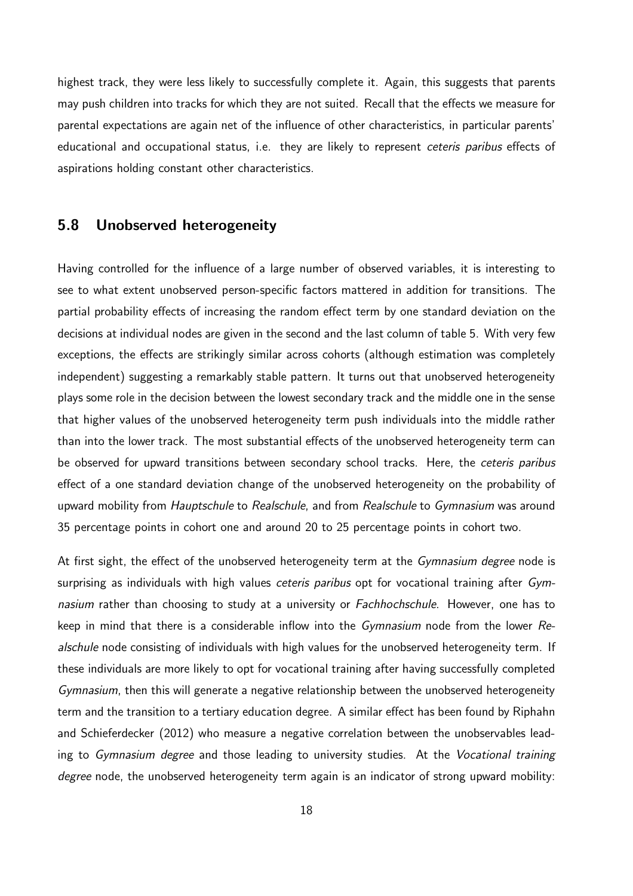highest track, they were less likely to successfully complete it. Again, this suggests that parents may push children into tracks for which they are not suited. Recall that the effects we measure for parental expectations are again net of the influence of other characteristics, in particular parents' educational and occupational status, i.e. they are likely to represent *ceteris paribus* effects of aspirations holding constant other characteristics.

#### 5.8 Unobserved heterogeneity

Having controlled for the influence of a large number of observed variables, it is interesting to see to what extent unobserved person-specific factors mattered in addition for transitions. The partial probability effects of increasing the random effect term by one standard deviation on the decisions at individual nodes are given in the second and the last column of table 5. With very few exceptions, the effects are strikingly similar across cohorts (although estimation was completely independent) suggesting a remarkably stable pattern. It turns out that unobserved heterogeneity plays some role in the decision between the lowest secondary track and the middle one in the sense that higher values of the unobserved heterogeneity term push individuals into the middle rather than into the lower track. The most substantial effects of the unobserved heterogeneity term can be observed for upward transitions between secondary school tracks. Here, the *ceteris paribus* effect of a one standard deviation change of the unobserved heterogeneity on the probability of upward mobility from *Hauptschule* to *Realschule*, and from *Realschule* to *Gymnasium* was around 35 percentage points in cohort one and around 20 to 25 percentage points in cohort two.

At first sight, the effect of the unobserved heterogeneity term at the *Gymnasium degree* node is surprising as individuals with high values *ceteris paribus* opt for vocational training after *Gymnasium* rather than choosing to study at a university or *Fachhochschule*. However, one has to keep in mind that there is a considerable inflow into the *Gymnasium* node from the lower *Realschule* node consisting of individuals with high values for the unobserved heterogeneity term. If these individuals are more likely to opt for vocational training after having successfully completed *Gymnasium*, then this will generate a negative relationship between the unobserved heterogeneity term and the transition to a tertiary education degree. A similar effect has been found by Riphahn and Schieferdecker (2012) who measure a negative correlation between the unobservables leading to *Gymnasium degree* and those leading to university studies. At the *Vocational training degree* node, the unobserved heterogeneity term again is an indicator of strong upward mobility: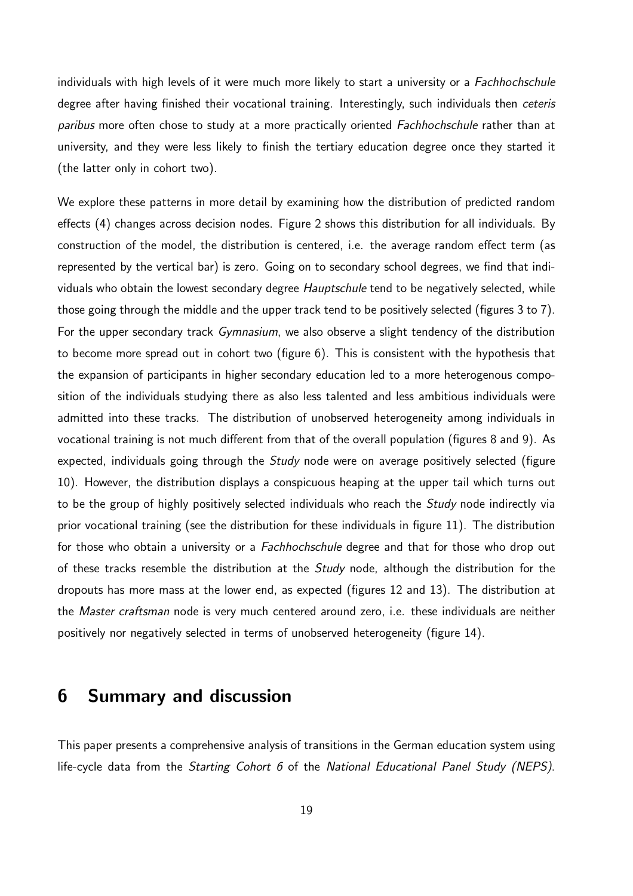individuals with high levels of it were much more likely to start a university or a *Fachhochschule* degree after having finished their vocational training. Interestingly, such individuals then *ceteris paribus* more often chose to study at a more practically oriented *Fachhochschule* rather than at university, and they were less likely to finish the tertiary education degree once they started it (the latter only in cohort two).

We explore these patterns in more detail by examining how the distribution of predicted random effects (4) changes across decision nodes. Figure 2 shows this distribution for all individuals. By construction of the model, the distribution is centered, i.e. the average random effect term (as represented by the vertical bar) is zero. Going on to secondary school degrees, we find that individuals who obtain the lowest secondary degree *Hauptschule* tend to be negatively selected, while those going through the middle and the upper track tend to be positively selected (figures 3 to 7). For the upper secondary track *Gymnasium*, we also observe a slight tendency of the distribution to become more spread out in cohort two (figure 6). This is consistent with the hypothesis that the expansion of participants in higher secondary education led to a more heterogenous composition of the individuals studying there as also less talented and less ambitious individuals were admitted into these tracks. The distribution of unobserved heterogeneity among individuals in vocational training is not much different from that of the overall population (figures 8 and 9). As expected, individuals going through the *Study* node were on average positively selected (figure 10). However, the distribution displays a conspicuous heaping at the upper tail which turns out to be the group of highly positively selected individuals who reach the *Study* node indirectly via prior vocational training (see the distribution for these individuals in figure 11). The distribution for those who obtain a university or a *Fachhochschule* degree and that for those who drop out of these tracks resemble the distribution at the *Study* node, although the distribution for the dropouts has more mass at the lower end, as expected (figures 12 and 13). The distribution at the *Master craftsman* node is very much centered around zero, i.e. these individuals are neither positively nor negatively selected in terms of unobserved heterogeneity (figure 14).

### 6 Summary and discussion

This paper presents a comprehensive analysis of transitions in the German education system using life-cycle data from the *Starting Cohort 6* of the *National Educational Panel Study (NEPS)*.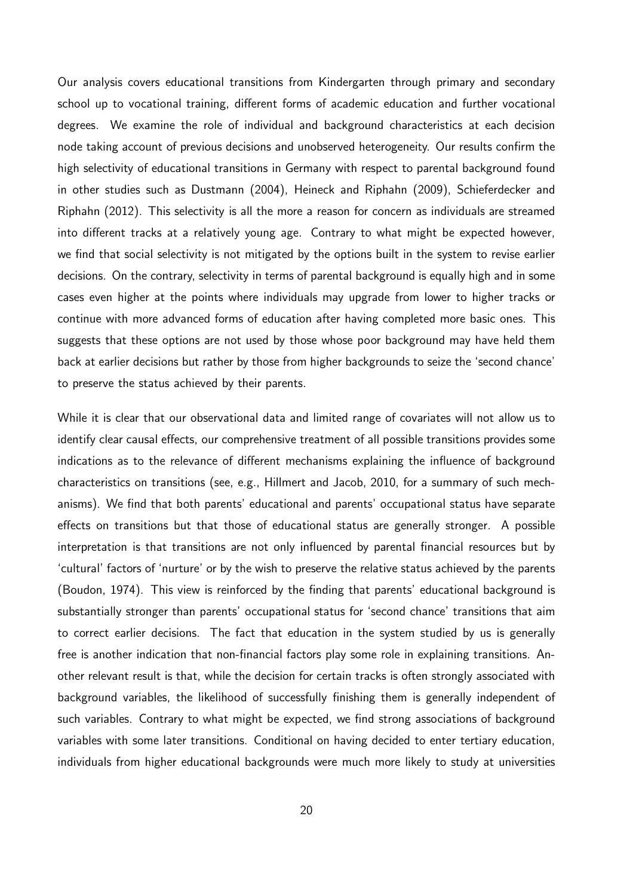Our analysis covers educational transitions from Kindergarten through primary and secondary school up to vocational training, different forms of academic education and further vocational degrees. We examine the role of individual and background characteristics at each decision node taking account of previous decisions and unobserved heterogeneity. Our results confirm the high selectivity of educational transitions in Germany with respect to parental background found in other studies such as Dustmann (2004), Heineck and Riphahn (2009), Schieferdecker and Riphahn (2012). This selectivity is all the more a reason for concern as individuals are streamed into different tracks at a relatively young age. Contrary to what might be expected however, we find that social selectivity is not mitigated by the options built in the system to revise earlier decisions. On the contrary, selectivity in terms of parental background is equally high and in some cases even higher at the points where individuals may upgrade from lower to higher tracks or continue with more advanced forms of education after having completed more basic ones. This suggests that these options are not used by those whose poor background may have held them back at earlier decisions but rather by those from higher backgrounds to seize the 'second chance' to preserve the status achieved by their parents.

While it is clear that our observational data and limited range of covariates will not allow us to identify clear causal effects, our comprehensive treatment of all possible transitions provides some indications as to the relevance of different mechanisms explaining the influence of background characteristics on transitions (see, e.g., Hillmert and Jacob, 2010, for a summary of such mechanisms). We find that both parents' educational and parents' occupational status have separate effects on transitions but that those of educational status are generally stronger. A possible interpretation is that transitions are not only influenced by parental financial resources but by 'cultural' factors of 'nurture' or by the wish to preserve the relative status achieved by the parents (Boudon, 1974). This view is reinforced by the finding that parents' educational background is substantially stronger than parents' occupational status for 'second chance' transitions that aim to correct earlier decisions. The fact that education in the system studied by us is generally free is another indication that non-financial factors play some role in explaining transitions. Another relevant result is that, while the decision for certain tracks is often strongly associated with background variables, the likelihood of successfully finishing them is generally independent of such variables. Contrary to what might be expected, we find strong associations of background variables with some later transitions. Conditional on having decided to enter tertiary education, individuals from higher educational backgrounds were much more likely to study at universities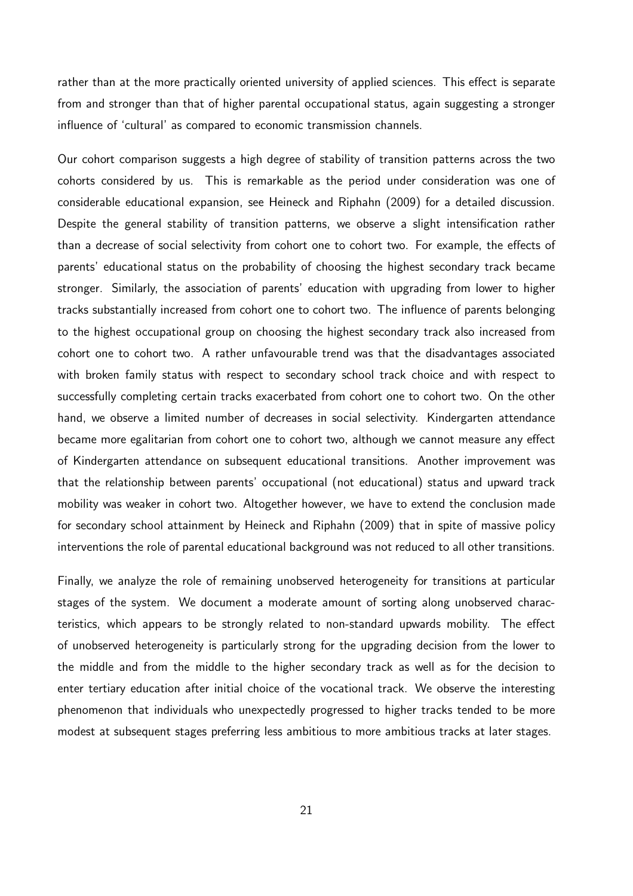rather than at the more practically oriented university of applied sciences. This effect is separate from and stronger than that of higher parental occupational status, again suggesting a stronger influence of 'cultural' as compared to economic transmission channels.

Our cohort comparison suggests a high degree of stability of transition patterns across the two cohorts considered by us. This is remarkable as the period under consideration was one of considerable educational expansion, see Heineck and Riphahn (2009) for a detailed discussion. Despite the general stability of transition patterns, we observe a slight intensification rather than a decrease of social selectivity from cohort one to cohort two. For example, the effects of parents' educational status on the probability of choosing the highest secondary track became stronger. Similarly, the association of parents' education with upgrading from lower to higher tracks substantially increased from cohort one to cohort two. The influence of parents belonging to the highest occupational group on choosing the highest secondary track also increased from cohort one to cohort two. A rather unfavourable trend was that the disadvantages associated with broken family status with respect to secondary school track choice and with respect to successfully completing certain tracks exacerbated from cohort one to cohort two. On the other hand, we observe a limited number of decreases in social selectivity. Kindergarten attendance became more egalitarian from cohort one to cohort two, although we cannot measure any effect of Kindergarten attendance on subsequent educational transitions. Another improvement was that the relationship between parents' occupational (not educational) status and upward track mobility was weaker in cohort two. Altogether however, we have to extend the conclusion made for secondary school attainment by Heineck and Riphahn (2009) that in spite of massive policy interventions the role of parental educational background was not reduced to all other transitions.

Finally, we analyze the role of remaining unobserved heterogeneity for transitions at particular stages of the system. We document a moderate amount of sorting along unobserved characteristics, which appears to be strongly related to non-standard upwards mobility. The effect of unobserved heterogeneity is particularly strong for the upgrading decision from the lower to the middle and from the middle to the higher secondary track as well as for the decision to enter tertiary education after initial choice of the vocational track. We observe the interesting phenomenon that individuals who unexpectedly progressed to higher tracks tended to be more modest at subsequent stages preferring less ambitious to more ambitious tracks at later stages.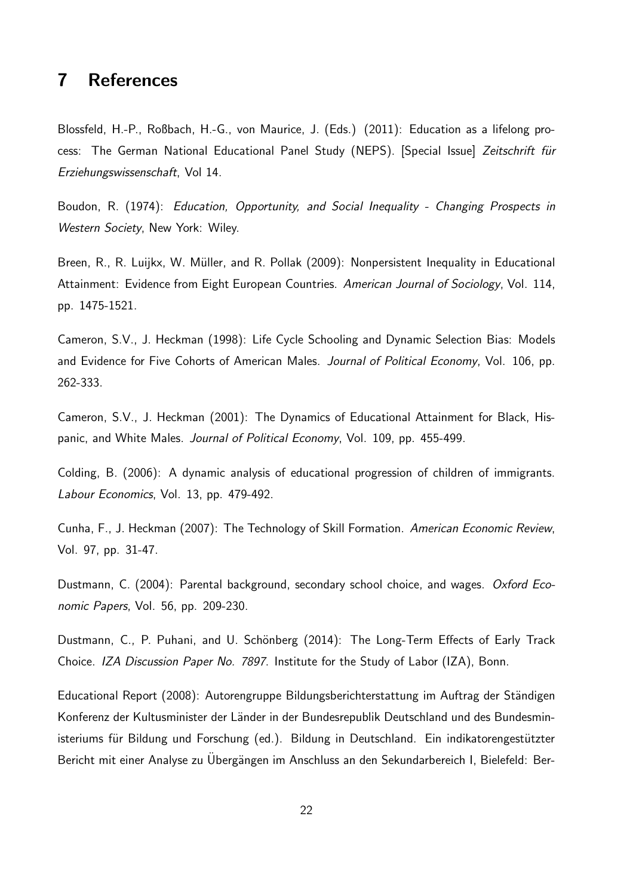### 7 References

Blossfeld, H.-P., Roßbach, H.-G., von Maurice, J. (Eds.) (2011): Education as a lifelong process: The German National Educational Panel Study (NEPS). [Special Issue] Zeitschrift für *Erziehungswissenschaft*, Vol 14.

Boudon, R. (1974): *Education, Opportunity, and Social Inequality - Changing Prospects in Western Society*, New York: Wiley.

Breen, R., R. Luijkx, W. Müller, and R. Pollak (2009): Nonpersistent Inequality in Educational Attainment: Evidence from Eight European Countries. *American Journal of Sociology*, Vol. 114, pp. 1475-1521.

Cameron, S.V., J. Heckman (1998): Life Cycle Schooling and Dynamic Selection Bias: Models and Evidence for Five Cohorts of American Males. *Journal of Political Economy*, Vol. 106, pp. 262-333.

Cameron, S.V., J. Heckman (2001): The Dynamics of Educational Attainment for Black, Hispanic, and White Males. *Journal of Political Economy*, Vol. 109, pp. 455-499.

Colding, B. (2006): A dynamic analysis of educational progression of children of immigrants. *Labour Economics*, Vol. 13, pp. 479-492.

Cunha, F., J. Heckman (2007): The Technology of Skill Formation. *American Economic Review*, Vol. 97, pp. 31-47.

Dustmann, C. (2004): Parental background, secondary school choice, and wages. *Oxford Economic Papers*, Vol. 56, pp. 209-230.

Dustmann, C., P. Puhani, and U. Schönberg (2014): The Long-Term Effects of Early Track Choice. *IZA Discussion Paper No. 7897*. Institute for the Study of Labor (IZA), Bonn.

Educational Report (2008): Autorengruppe Bildungsberichterstattung im Auftrag der Ständigen Konferenz der Kultusminister der Länder in der Bundesrepublik Deutschland und des Bundesministeriums für Bildung und Forschung (ed.). Bildung in Deutschland. Ein indikatorengestützter Bericht mit einer Analyse zu Ubergängen im Anschluss an den Sekundarbereich I, Bielefeld: Ber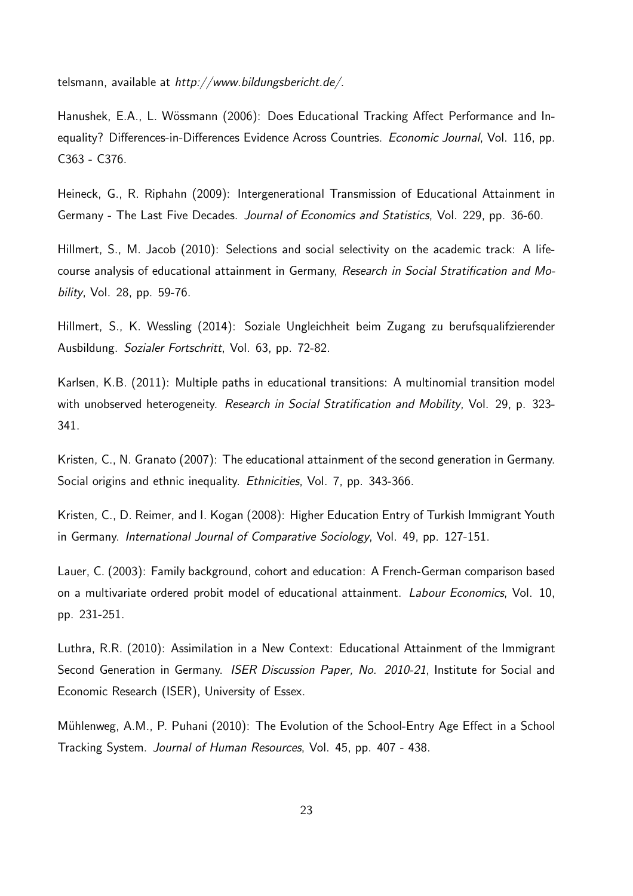telsmann, available at *http://www.bildungsbericht.de/*.

Hanushek, E.A., L. Wössmann (2006): Does Educational Tracking Affect Performance and Inequality? Differences-in-Differences Evidence Across Countries. *Economic Journal*, Vol. 116, pp. C363 - C376.

Heineck, G., R. Riphahn (2009): Intergenerational Transmission of Educational Attainment in Germany - The Last Five Decades. *Journal of Economics and Statistics*, Vol. 229, pp. 36-60.

Hillmert, S., M. Jacob (2010): Selections and social selectivity on the academic track: A lifecourse analysis of educational attainment in Germany, *Research in Social Stratification and Mobility*, Vol. 28, pp. 59-76.

Hillmert, S., K. Wessling (2014): Soziale Ungleichheit beim Zugang zu berufsqualifzierender Ausbildung. *Sozialer Fortschritt*, Vol. 63, pp. 72-82.

Karlsen, K.B. (2011): Multiple paths in educational transitions: A multinomial transition model with unobserved heterogeneity. *Research in Social Stratification and Mobility*, Vol. 29, p. 323- 341.

Kristen, C., N. Granato (2007): The educational attainment of the second generation in Germany. Social origins and ethnic inequality. *Ethnicities*, Vol. 7, pp. 343-366.

Kristen, C., D. Reimer, and I. Kogan (2008): Higher Education Entry of Turkish Immigrant Youth in Germany. *International Journal of Comparative Sociology*, Vol. 49, pp. 127-151.

Lauer, C. (2003): Family background, cohort and education: A French-German comparison based on a multivariate ordered probit model of educational attainment. *Labour Economics*, Vol. 10, pp. 231-251.

Luthra, R.R. (2010): Assimilation in a New Context: Educational Attainment of the Immigrant Second Generation in Germany. *ISER Discussion Paper, No. 2010-21*, Institute for Social and Economic Research (ISER), University of Essex.

Mühlenweg, A.M., P. Puhani (2010): The Evolution of the School-Entry Age Effect in a School Tracking System. *Journal of Human Resources*, Vol. 45, pp. 407 - 438.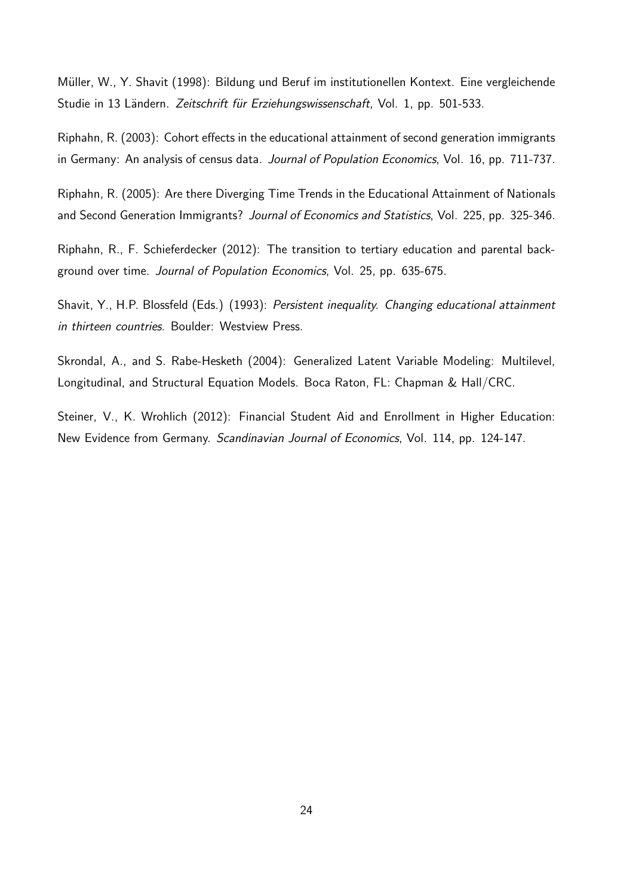Müller, W., Y. Shavit (1998): Bildung und Beruf im institutionellen Kontext. Eine vergleichende Studie in 13 Ländern. Zeitschrift für Erziehungswissenschaft, Vol. 1, pp. 501-533.

Riphahn, R. (2003): Cohort effects in the educational attainment of second generation immigrants in Germany: An analysis of census data. *Journal of Population Economics*, Vol. 16, pp. 711-737.

Riphahn, R. (2005): Are there Diverging Time Trends in the Educational Attainment of Nationals and Second Generation Immigrants? *Journal of Economics and Statistics*, Vol. 225, pp. 325-346.

Riphahn, R., F. Schieferdecker (2012): The transition to tertiary education and parental background over time. *Journal of Population Economics*, Vol. 25, pp. 635-675.

Shavit, Y., H.P. Blossfeld (Eds.) (1993): *Persistent inequality. Changing educational attainment in thirteen countries*. Boulder: Westview Press.

Skrondal, A., and S. Rabe-Hesketh (2004): Generalized Latent Variable Modeling: Multilevel, Longitudinal, and Structural Equation Models. Boca Raton, FL: Chapman & Hall/CRC.

Steiner, V., K. Wrohlich (2012): Financial Student Aid and Enrollment in Higher Education: New Evidence from Germany. *Scandinavian Journal of Economics*, Vol. 114, pp. 124-147.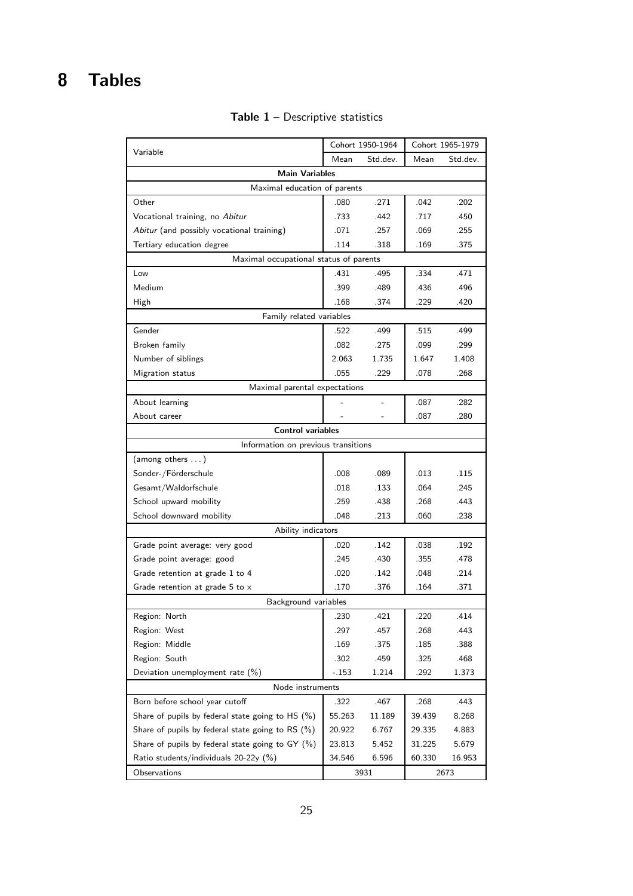## 8 Tables

| Variable                                            | Cohort 1950-1964 |          | Cohort 1965-1979 |          |  |
|-----------------------------------------------------|------------------|----------|------------------|----------|--|
|                                                     | Mean             | Std.dev. | Mean             | Std.dev. |  |
| <b>Main Variables</b>                               |                  |          |                  |          |  |
| Maximal education of parents                        |                  |          |                  |          |  |
| Other                                               | .080             | .271     | .042             | .202     |  |
| Vocational training, no Abitur                      | .733             | .442     | .717             | .450     |  |
| Abitur (and possibly vocational training)           | .071             | .257     | .069             | .255     |  |
| Tertiary education degree                           | .114             | .318     | .169             | .375     |  |
| Maximal occupational status of parents              |                  |          |                  |          |  |
| Low                                                 | .431             | .495     | .334             | .471     |  |
| Medium                                              | .399             | .489     | .436             | .496     |  |
| High                                                | .168             | .374     | .229             | .420     |  |
| Family related variables                            |                  |          |                  |          |  |
| Gender                                              | .522             | .499     | .515             | .499     |  |
| Broken family                                       | .082             | .275     | .099             | .299     |  |
| Number of siblings                                  | 2.063            | 1.735    | 1.647            | 1.408    |  |
| Migration status                                    | .055             | .229     | .078             | .268     |  |
| Maximal parental expectations                       |                  |          |                  |          |  |
| About learning                                      |                  |          | .087             | .282     |  |
| About career                                        |                  |          | .087             | .280     |  |
| <b>Control variables</b>                            |                  |          |                  |          |  |
| Information on previous transitions                 |                  |          |                  |          |  |
| (among others )                                     |                  |          |                  |          |  |
| Sonder-/Förderschule                                | .008             | .089     | .013             | .115     |  |
| Gesamt/Waldorfschule                                | .018             | .133     | .064             | .245     |  |
| School upward mobility                              | .259             | .438     | .268             | .443     |  |
| School downward mobility                            | .048             | .213     | .060             | .238     |  |
| Ability indicators                                  |                  |          |                  |          |  |
| Grade point average: very good                      | .020             | .142     | .038             | .192     |  |
| Grade point average: good                           | .245             | .430     | .355             | .478     |  |
| Grade retention at grade 1 to 4                     | .020             | .142     | .048             | .214     |  |
| Grade retention at grade 5 to $\times$              | .170             | .376     | .164             | .371     |  |
| Background variables                                |                  |          |                  |          |  |
| Region: North                                       | .230             | .421     | .220             | .414     |  |
| Region: West                                        | .297             | .457     | .268             | .443     |  |
| Region: Middle                                      | .169             | .375     | .185             | .388     |  |
| Region: South                                       | .302             | .459     | .325             | .468     |  |
| Deviation unemployment rate (%)                     | $-.153$          | 1.214    | .292             | 1.373    |  |
| Node instruments                                    |                  |          |                  |          |  |
| Born before school year cutoff                      | .322             | .467     | .268             | .443     |  |
| Share of pupils by federal state going to HS $(\%)$ | 55.263           | 11.189   | 39.439           | 8.268    |  |
| Share of pupils by federal state going to RS $(\%)$ | 20.922           | 6.767    | 29.335           | 4.883    |  |
| Share of pupils by federal state going to GY $(\%)$ | 23.813           | 5.452    | 31.225           | 5.679    |  |
| Ratio students/individuals 20-22y (%)               | 34.546           | 6.596    | 60.330           | 16.953   |  |
| Observations                                        | 3931             |          | 2673             |          |  |

#### **Table 1** – Descriptive statistics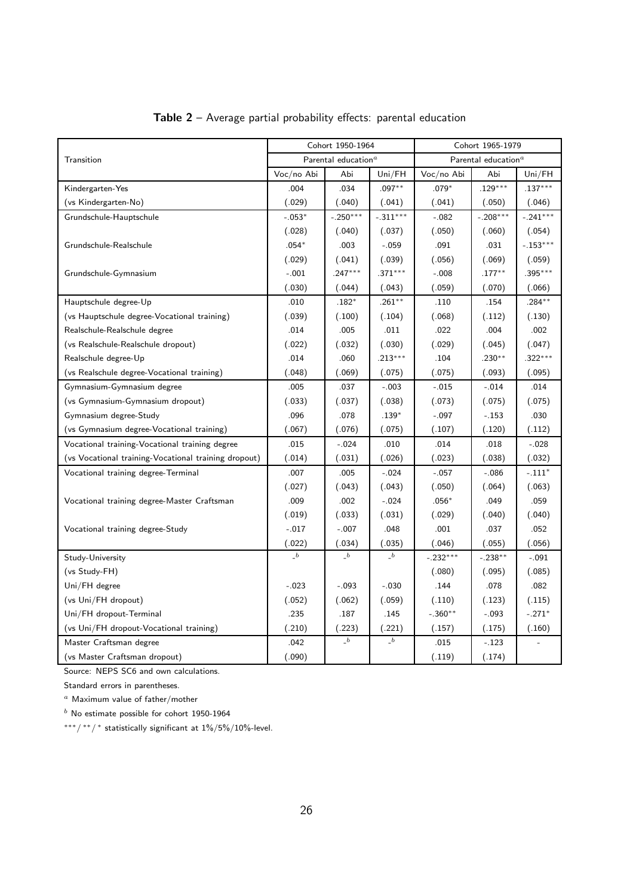|                                                      | Cohort 1950-1964<br>Parental education $^a$ |              |              | Cohort 1965-1979        |            |            |
|------------------------------------------------------|---------------------------------------------|--------------|--------------|-------------------------|------------|------------|
| Transition                                           |                                             |              |              | Parental education $^a$ |            |            |
|                                                      | Voc/no Abi                                  | Abi          | Uni/FH       | Voc/no Abi              | Abi        | Uni/FH     |
| Kindergarten-Yes                                     | .004                                        | .034         | $.097***$    | $.079*$                 | $.129***$  | $.137***$  |
| (vs Kindergarten-No)                                 | (.029)                                      | (.040)       | (.041)       | (.041)                  | (.050)     | (.046)     |
| Grundschule-Hauptschule                              | $-.053*$                                    | $-.250***$   | $-.311***$   | $-.082$                 | $-.208***$ | $-.241***$ |
|                                                      | (.028)                                      | (.040)       | (.037)       | (.050)                  | (.060)     | (.054)     |
| Grundschule-Realschule                               | $.054*$                                     | .003         | $-.059$      | .091                    | .031       | $-.153***$ |
|                                                      | (.029)                                      | (.041)       | (.039)       | (.056)                  | (.069)     | (.059)     |
| Grundschule-Gymnasium                                | $-.001$                                     | $.247***$    | $.371***$    | $-.008$                 | $.177***$  | $.395***$  |
|                                                      | (.030)                                      | (.044)       | (.043)       | (.059)                  | (.070)     | (.066)     |
| Hauptschule degree-Up                                | .010                                        | $.182*$      | $.261***$    | .110                    | .154       | $.284***$  |
| (vs Hauptschule degree-Vocational training)          | (.039)                                      | (.100)       | (.104)       | (.068)                  | (.112)     | (.130)     |
| Realschule-Realschule degree                         | .014                                        | .005         | .011         | .022                    | .004       | .002       |
| (vs Realschule-Realschule dropout)                   | (.022)                                      | (.032)       | (.030)       | (.029)                  | (.045)     | (.047)     |
| Realschule degree-Up                                 | .014                                        | .060         | $.213***$    | .104                    | $.230**$   | $.322***$  |
| (vs Realschule degree-Vocational training)           | (.048)                                      | (.069)       | (.075)       | (.075)                  | (.093)     | (.095)     |
| Gymnasium-Gymnasium degree                           | .005                                        | .037         | $-.003$      | $-.015$                 | $-.014$    | .014       |
| (vs Gymnasium-Gymnasium dropout)                     | (.033)                                      | (.037)       | (.038)       | (.073)                  | (.075)     | (.075)     |
| Gymnasium degree-Study                               | .096                                        | .078         | $.139*$      | $-.097$                 | $-.153$    | .030       |
| (vs Gymnasium degree-Vocational training)            | (.067)                                      | (.076)       | (.075)       | (.107)                  | (.120)     | (.112)     |
| Vocational training-Vocational training degree       | .015                                        | $-.024$      | .010         | .014                    | .018       | $-.028$    |
| (vs Vocational training-Vocational training dropout) | (.014)                                      | (.031)       | (.026)       | (.023)                  | (.038)     | (.032)     |
| Vocational training degree-Terminal                  | .007                                        | .005         | $-.024$      | $-.057$                 | $-.086$    | $-.111*$   |
|                                                      | (.027)                                      | (.043)       | (.043)       | (.050)                  | (.064)     | (.063)     |
| Vocational training degree-Master Craftsman          | .009                                        | .002         | $-.024$      | $.056*$                 | .049       | .059       |
|                                                      | (.019)                                      | (.033)       | (.031)       | (.029)                  | (.040)     | (.040)     |
| Vocational training degree-Study                     | $-.017$                                     | $-.007$      | .048         | .001                    | .037       | .052       |
|                                                      | (.022)                                      | (.034)       | (.035)       | (.046)                  | (.055)     | (.056)     |
| Study-University                                     | $\mathbf{a}$                                | $\_b$        | $\mathbf{a}$ | $-.232***$              | $-.238**$  | $-.091$    |
| (vs Study-FH)                                        |                                             |              |              | (.080)                  | (.095)     | (.085)     |
| Uni/FH degree                                        | $-.023$                                     | $-.093$      | $-.030$      | .144                    | .078       | .082       |
| (vs Uni/FH dropout)                                  | (.052)                                      | (.062)       | (.059)       | (.110)                  | (.123)     | (.115)     |
| Uni/FH dropout-Terminal                              | .235                                        | .187         | .145         | $-.360**$               | $-.093$    | $-.271*$   |
| (vs Uni/FH dropout-Vocational training)              | (.210)                                      | (.223)       | (.221)       | (.157)                  | (.175)     | (.160)     |
| Master Craftsman degree                              | .042                                        | $\mathbf{a}$ | $\_b$        | .015                    | $-.123$    |            |
| (vs Master Craftsman dropout)                        | (.090)                                      |              |              | (.119)                  | (.174)     |            |

#### Table 2 – Average partial probability effects: parental education

Source: NEPS SC6 and own calculations.

Standard errors in parentheses.

 $a$  Maximum value of father/mother

 $<sup>b</sup>$  No estimate possible for cohort 1950-1964</sup>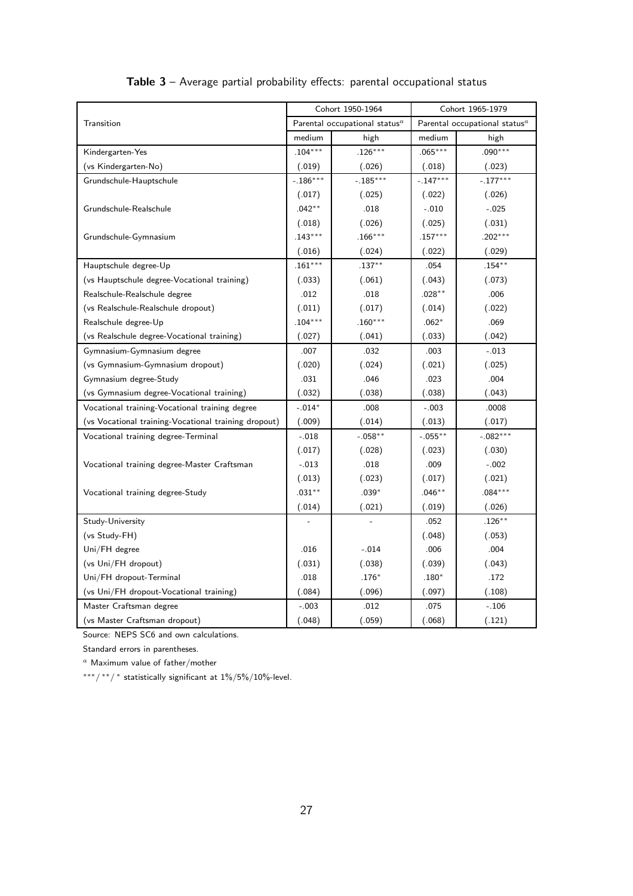| Cohort 1950-1964<br>Transition<br>Parental occupational status $^a$ |            |            | Cohort 1965-1979                  |            |  |
|---------------------------------------------------------------------|------------|------------|-----------------------------------|------------|--|
|                                                                     |            |            | Parental occupational status $^a$ |            |  |
|                                                                     | medium     | high       | medium                            | high       |  |
| Kindergarten-Yes                                                    | $.104***$  | $.126***$  | $.065***$                         | $.090***$  |  |
| (vs Kindergarten-No)                                                | (.019)     | (.026)     | (.018)                            | (.023)     |  |
| Grundschule-Hauptschule                                             | $-.186***$ | $-.185***$ | $-.147***$                        | $-.177***$ |  |
|                                                                     | (.017)     | (.025)     | (.022)                            | (.026)     |  |
| Grundschule-Realschule                                              | $.042**$   | .018       | $-.010$                           | $-.025$    |  |
|                                                                     | (.018)     | (.026)     | (.025)                            | (.031)     |  |
| Grundschule-Gymnasium                                               | $.143***$  | $.166***$  | $.157***$                         | $.202***$  |  |
|                                                                     | (.016)     | (.024)     | (.022)                            | (.029)     |  |
| Hauptschule degree-Up                                               | $.161***$  | $.137***$  | .054                              | $.154***$  |  |
| (vs Hauptschule degree-Vocational training)                         | (.033)     | (.061)     | (.043)                            | (.073)     |  |
| Realschule-Realschule degree                                        | .012       | .018       | $.028**$                          | .006       |  |
| (vs Realschule-Realschule dropout)                                  | (.011)     | (.017)     | (.014)                            | (.022)     |  |
| Realschule degree-Up                                                | $.104***$  | $.160***$  | $.062*$                           | .069       |  |
| (vs Realschule degree-Vocational training)                          | (.027)     | (.041)     | (.033)                            | (.042)     |  |
| Gymnasium-Gymnasium degree                                          | .007       | .032       | .003                              | $-.013$    |  |
| (vs Gymnasium-Gymnasium dropout)                                    | (.020)     | (.024)     | (.021)                            | (.025)     |  |
| Gymnasium degree-Study                                              | .031       | .046       | .023                              | .004       |  |
| (vs Gymnasium degree-Vocational training)                           | (.032)     | (.038)     | (.038)                            | (.043)     |  |
| Vocational training-Vocational training degree                      | $-.014*$   | .008       | $-.003$                           | .0008      |  |
| (vs Vocational training-Vocational training dropout)                | (.009)     | (.014)     | (.013)                            | (.017)     |  |
| Vocational training degree-Terminal                                 | $-.018$    | $-.058**$  | $-.055***$                        | $-.082***$ |  |
|                                                                     | (.017)     | (.028)     | (.023)                            | (.030)     |  |
| Vocational training degree-Master Craftsman                         | $-.013$    | .018       | .009                              | $-.002$    |  |
|                                                                     | (.013)     | (.023)     | (.017)                            | (.021)     |  |
| Vocational training degree-Study                                    | $.031***$  | $.039*$    | $.046**$                          | $.084***$  |  |
|                                                                     | (.014)     | (.021)     | (.019)                            | (.026)     |  |
| Study-University                                                    |            |            | .052                              | $.126***$  |  |
| (vs Study-FH)                                                       |            |            | (.048)                            | (.053)     |  |
| Uni/FH degree                                                       | .016       | $-.014$    | .006                              | .004       |  |
| (vs Uni/FH dropout)                                                 | (.031)     | (.038)     | (.039)                            | (.043)     |  |
| Uni/FH dropout-Terminal                                             | .018       | $.176*$    | $.180*$                           | .172       |  |
| (vs Uni/FH dropout-Vocational training)                             | (.084)     | (.096)     | (.097)                            | (.108)     |  |
| Master Craftsman degree                                             | $-.003$    | .012       | .075                              | $-.106$    |  |
| (vs Master Craftsman dropout)                                       | (.048)     | (.059)     | (.068)                            | (.121)     |  |

#### Table 3 – Average partial probability effects: parental occupational status

Source: NEPS SC6 and own calculations.

Standard errors in parentheses.

 $^{\,a}$  Maximum value of father/mother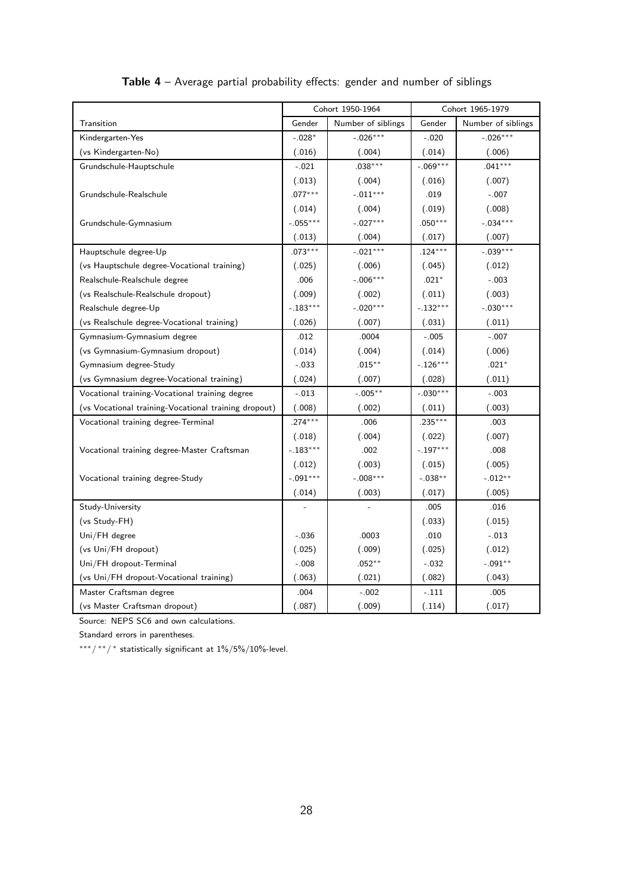|                                                      |            | Cohort 1950-1964   | Cohort 1965-1979 |                    |  |
|------------------------------------------------------|------------|--------------------|------------------|--------------------|--|
| Transition                                           | Gender     | Number of siblings | Gender           | Number of siblings |  |
| Kindergarten-Yes                                     | $-.028*$   | $-.026***$         | $-.020$          | $-.026***$         |  |
| (vs Kindergarten-No)                                 | (.016)     | (.004)             | (.014)           | (.006)             |  |
| Grundschule-Hauptschule                              | $-.021$    | $.038***$          | $-.069***$       | $.041***$          |  |
|                                                      | (.013)     | (.004)             | (.016)           | (.007)             |  |
| Grundschule-Realschule                               | $.077***$  | $-.011***$         | .019             | $-.007$            |  |
|                                                      | (.014)     | (.004)             | (.019)           | (.008)             |  |
| Grundschule-Gymnasium                                | $-.055***$ | $-.027***$         | $.050***$        | $-.034***$         |  |
|                                                      | (.013)     | (.004)             | (.017)           | (.007)             |  |
| Hauptschule degree-Up                                | $.073***$  | $-.021***$         | $.124***$        | $-.039***$         |  |
| (vs Hauptschule degree-Vocational training)          | (.025)     | (.006)             | (.045)           | (.012)             |  |
| Realschule-Realschule degree                         | .006       | $-.006***$         | $.021*$          | $-.003$            |  |
| (vs Realschule-Realschule dropout)                   | (.009)     | (.002)             | (.011)           | (.003)             |  |
| Realschule degree-Up                                 | $-.183***$ | $-.020***$         | $-.132***$       | $-.030***$         |  |
| (vs Realschule degree-Vocational training)           | (.026)     | (.007)             | (.031)           | (.011)             |  |
| Gymnasium-Gymnasium degree                           | .012       | .0004              | $-.005$          | $-.007$            |  |
| (vs Gymnasium-Gymnasium dropout)                     | (.014)     | (.004)             | (.014)           | (.006)             |  |
| Gymnasium degree-Study                               | $-.033$    | $.015***$          | $-.126***$       | $.021*$            |  |
| (vs Gymnasium degree-Vocational training)            | (.024)     | (.007)             | (.028)           | (.011)             |  |
| Vocational training-Vocational training degree       | $-.013$    | $-.005***$         | $-.030***$       | $-.003$            |  |
| (vs Vocational training-Vocational training dropout) | (.008)     | (.002)             | (.011)           | (.003)             |  |
| Vocational training degree-Terminal                  | $.274***$  | .006               | $.235***$        | .003               |  |
|                                                      | (.018)     | (.004)             | (.022)           | (.007)             |  |
| Vocational training degree-Master Craftsman          | $-.183***$ | .002               | $-.197***$       | .008               |  |
|                                                      | (.012)     | (.003)             | (.015)           | (.005)             |  |
| Vocational training degree-Study                     | $-.091***$ | $-.008***$         | $-.038***$       | $-.012**$          |  |
|                                                      | (.014)     | (.003)             | (.017)           | (.005)             |  |
| Study-University                                     |            |                    | .005             | .016               |  |
| (vs Study-FH)                                        |            |                    | (.033)           | (.015)             |  |
| Uni/FH degree                                        | $-.036$    | .0003              | .010             | $-.013$            |  |
| (vs Uni/FH dropout)                                  | (.025)     | (.009)             | (.025)           | (.012)             |  |
| Uni/FH dropout-Terminal                              | $-.008$    | $.052***$          | $-.032$          | $-.091**$          |  |
| (vs Uni/FH dropout-Vocational training)              | (.063)     | (.021)             | (.082)           | (.043)             |  |
| Master Craftsman degree                              | .004       | $-.002$            | $-.111$          | .005               |  |
| (vs Master Craftsman dropout)                        | (.087)     | (.009)             | (.114)           | (.017)             |  |

#### Table 4 – Average partial probability effects: gender and number of siblings

Source: NEPS SC6 and own calculations.

Standard errors in parentheses.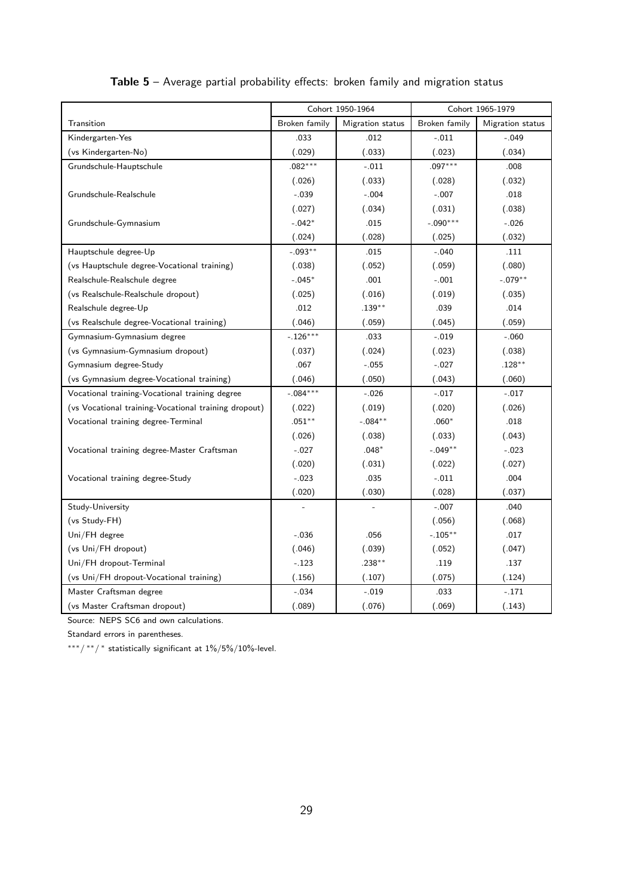|                                                      |               | Cohort 1950-1964 |               | Cohort 1965-1979 |
|------------------------------------------------------|---------------|------------------|---------------|------------------|
| Transition                                           | Broken family | Migration status | Broken family | Migration status |
| Kindergarten-Yes                                     | .033          | .012             | $-.011$       | $-.049$          |
| (vs Kindergarten-No)                                 | (.029)        | (.033)           | (.023)        | (.034)           |
| Grundschule-Hauptschule                              | $.082***$     | $-.011$          | $.097***$     | .008             |
|                                                      | (.026)        | (.033)           | (.028)        | (.032)           |
| Grundschule-Realschule                               | $-.039$       | $-.004$          | $-.007$       | .018             |
|                                                      | (.027)        | (.034)           | (.031)        | (.038)           |
| Grundschule-Gymnasium                                | $-.042*$      | .015             | $-.090***$    | $-.026$          |
|                                                      | (.024)        | (.028)           | (.025)        | (.032)           |
| Hauptschule degree-Up                                | $-.093**$     | .015             | $-.040$       | .111             |
| (vs Hauptschule degree-Vocational training)          | (.038)        | (.052)           | (.059)        | (.080)           |
| Realschule-Realschule degree                         | $-.045*$      | .001             | $-.001$       | $-.079**$        |
| (vs Realschule-Realschule dropout)                   | (.025)        | (.016)           | (.019)        | (.035)           |
| Realschule degree-Up                                 | .012          | $.139**$         | .039          | .014             |
| (vs Realschule degree-Vocational training)           | (.046)        | (.059)           | (.045)        | (.059)           |
| Gymnasium-Gymnasium degree                           | $-.126***$    | .033             | $-.019$       | $-.060$          |
| (vs Gymnasium-Gymnasium dropout)                     | (.037)        | (.024)           | (.023)        | (.038)           |
| Gymnasium degree-Study                               | .067          | $-.055$          | $-.027$       | $.128**$         |
| (vs Gymnasium degree-Vocational training)            | (.046)        | (.050)           | (.043)        | (.060)           |
| Vocational training-Vocational training degree       | $-.084***$    | $-.026$          | $-.017$       | $-.017$          |
| (vs Vocational training-Vocational training dropout) | (.022)        | (.019)           | (.020)        | (.026)           |
| Vocational training degree-Terminal                  | $.051***$     | $-.084**$        | $.060*$       | .018             |
|                                                      | (.026)        | (.038)           | (.033)        | (.043)           |
| Vocational training degree-Master Craftsman          | $-.027$       | $.048*$          | $-.049**$     | $-.023$          |
|                                                      | (.020)        | (.031)           | (.022)        | (.027)           |
| Vocational training degree-Study                     | $-.023$       | .035             | $-.011$       | .004             |
|                                                      | (.020)        | (.030)           | (.028)        | (.037)           |
| Study-University                                     |               |                  | $-.007$       | .040             |
| (vs Study-FH)                                        |               |                  | (.056)        | (.068)           |
| Uni/FH degree                                        | $-.036$       | .056             | $-.105***$    | .017             |
| (vs Uni/FH dropout)                                  | (.046)        | (.039)           | (.052)        | (.047)           |
| Uni/FH dropout-Terminal                              | $-.123$       | $.238***$        | .119          | .137             |
| (vs Uni/FH dropout-Vocational training)              | (.156)        | (.107)           | (.075)        | (.124)           |
| Master Craftsman degree                              | $-.034$       | $-.019$          | .033          | $-.171$          |
| (vs Master Craftsman dropout)                        | (.089)        | (.076)           | (.069)        | (.143)           |

#### Table 5 – Average partial probability effects: broken family and migration status

Source: NEPS SC6 and own calculations.

Standard errors in parentheses.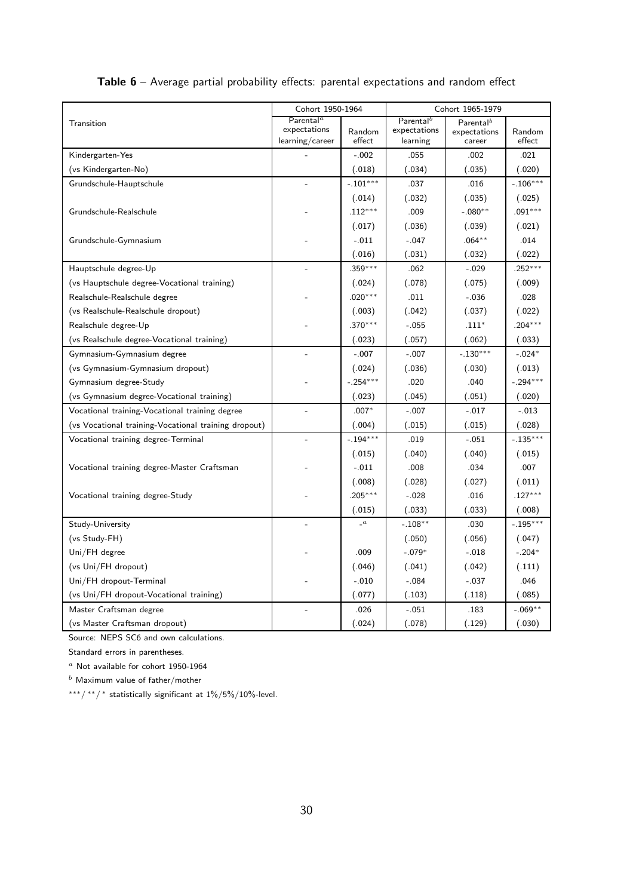|                                                      | Cohort 1950-1964                                         |                  | Cohort 1965-1979                                  |                                                 |                  |  |  |
|------------------------------------------------------|----------------------------------------------------------|------------------|---------------------------------------------------|-------------------------------------------------|------------------|--|--|
| Transition                                           | $\mathsf{Parental}^a$<br>expectations<br>learning/career | Random<br>effect | Parental <sup>b</sup><br>expectations<br>learning | Parental <sup>b</sup><br>expectations<br>career | Random<br>effect |  |  |
| Kindergarten-Yes                                     |                                                          | $-.002$          | .055                                              | .002                                            | .021             |  |  |
| (vs Kindergarten-No)                                 |                                                          | (.018)           | (.034)                                            | (.035)                                          | (.020)           |  |  |
| Grundschule-Hauptschule                              |                                                          | $-.101***$       | .037                                              | .016                                            | $-.106***$       |  |  |
|                                                      |                                                          | (.014)           | (.032)                                            | (.035)                                          | (.025)           |  |  |
| Grundschule-Realschule                               |                                                          | $.112***$        | .009                                              | $-.080**$                                       | $.091***$        |  |  |
|                                                      |                                                          | (.017)           | (.036)                                            | (.039)                                          | (.021)           |  |  |
| Grundschule-Gymnasium                                |                                                          | $-.011$          | $-.047$                                           | $.064***$                                       | .014             |  |  |
|                                                      |                                                          | (.016)           | (.031)                                            | (.032)                                          | (.022)           |  |  |
| Hauptschule degree-Up                                |                                                          | $.359***$        | .062                                              | $-.029$                                         | $.252***$        |  |  |
| (vs Hauptschule degree-Vocational training)          |                                                          | (.024)           | (.078)                                            | (.075)                                          | (.009)           |  |  |
| Realschule-Realschule degree                         |                                                          | $.020***$        | .011                                              | $-.036$                                         | .028             |  |  |
| (vs Realschule-Realschule dropout)                   |                                                          | (.003)           | (.042)                                            | (.037)                                          | (.022)           |  |  |
| Realschule degree-Up                                 |                                                          | $.370***$        | $-.055$                                           | $.111*$                                         | $.204***$        |  |  |
| (vs Realschule degree-Vocational training)           |                                                          | (.023)           | (.057)                                            | (.062)                                          | (.033)           |  |  |
| Gymnasium-Gymnasium degree                           |                                                          | $-.007$          | $-.007$                                           | $-.130***$                                      | $-.024*$         |  |  |
| (vs Gymnasium-Gymnasium dropout)                     |                                                          | (.024)           | (.036)                                            | (.030)                                          | (.013)           |  |  |
| Gymnasium degree-Study                               |                                                          | $-.254***$       | .020                                              | .040                                            | $-.294***$       |  |  |
| (vs Gymnasium degree-Vocational training)            |                                                          | (.023)           | (.045)                                            | (.051)                                          | (.020)           |  |  |
| Vocational training-Vocational training degree       |                                                          | $.007*$          | $-.007$                                           | $-.017$                                         | $-.013$          |  |  |
| (vs Vocational training-Vocational training dropout) |                                                          | (.004)           | (.015)                                            | (.015)                                          | (.028)           |  |  |
| Vocational training degree-Terminal                  |                                                          | $-.194***$       | .019                                              | $-.051$                                         | $-.135***$       |  |  |
|                                                      |                                                          | (.015)           | (.040)                                            | (.040)                                          | (.015)           |  |  |
| Vocational training degree-Master Craftsman          |                                                          | $-.011$          | .008                                              | .034                                            | .007             |  |  |
|                                                      |                                                          | (.008)           | (.028)                                            | (.027)                                          | (.011)           |  |  |
| Vocational training degree-Study                     |                                                          | $.205***$        | $-.028$                                           | .016                                            | $.127***$        |  |  |
|                                                      |                                                          | (.015)           | (.033)                                            | (.033)                                          | (.008)           |  |  |
| Study-University                                     |                                                          | $\mathfrak{a}$   | $-.108**$                                         | .030                                            | $-.195***$       |  |  |
| (vs Study-FH)                                        |                                                          |                  | (.050)                                            | (.056)                                          | (.047)           |  |  |
| Uni/FH degree                                        |                                                          | .009             | $-.079*$                                          | $-.018$                                         | $-.204*$         |  |  |
| (vs Uni/FH dropout)                                  |                                                          | (.046)           | (.041)                                            | (.042)                                          | (.111)           |  |  |
| Uni/FH dropout-Terminal                              |                                                          | $-.010$          | $-.084$                                           | $-.037$                                         | .046             |  |  |
| (vs Uni/FH dropout-Vocational training)              |                                                          | (.077)           | (.103)                                            | (.118)                                          | (.085)           |  |  |
| Master Craftsman degree                              |                                                          | .026             | $-.051$                                           | .183                                            | $-.069**$        |  |  |
| (vs Master Craftsman dropout)                        |                                                          | (.024)           | (.078)                                            | (.129)                                          | (.030)           |  |  |

Table 6 – Average partial probability effects: parental expectations and random effect

Source: NEPS SC6 and own calculations.

Standard errors in parentheses.

 $a$  Not available for cohort 1950-1964

 $<sup>b</sup>$  Maximum value of father/mother</sup>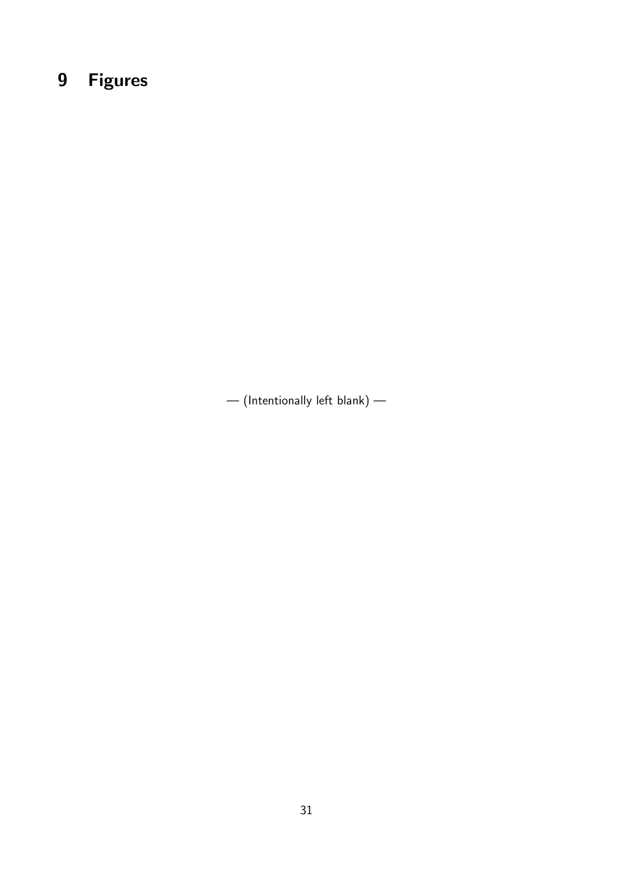## 9 Figures

— (Intentionally left blank) —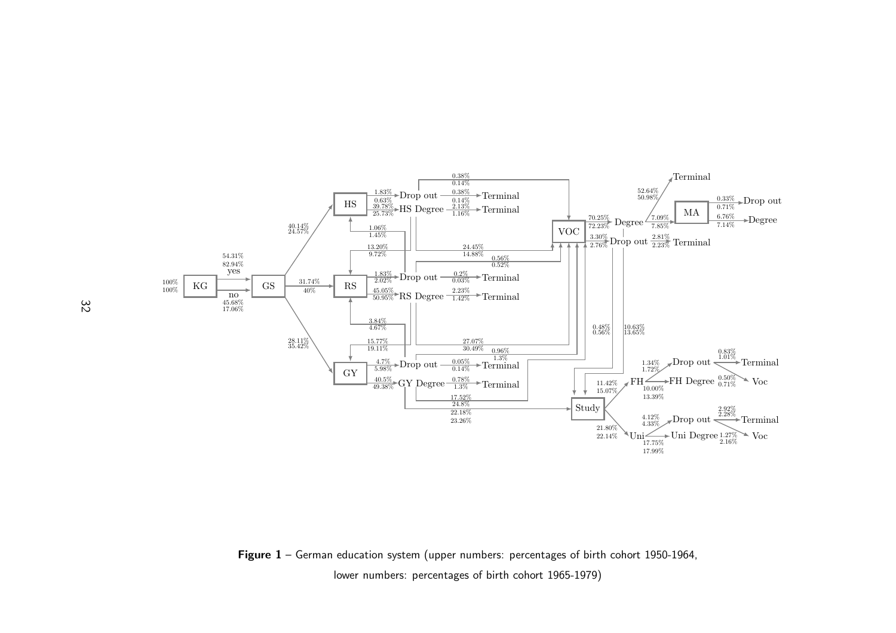

**Figure 1** – German education system (upper numbers: percentages of birth cohort 1950-1964,  $\,$ lower numbers: percentages of birth cohort 1965-1979)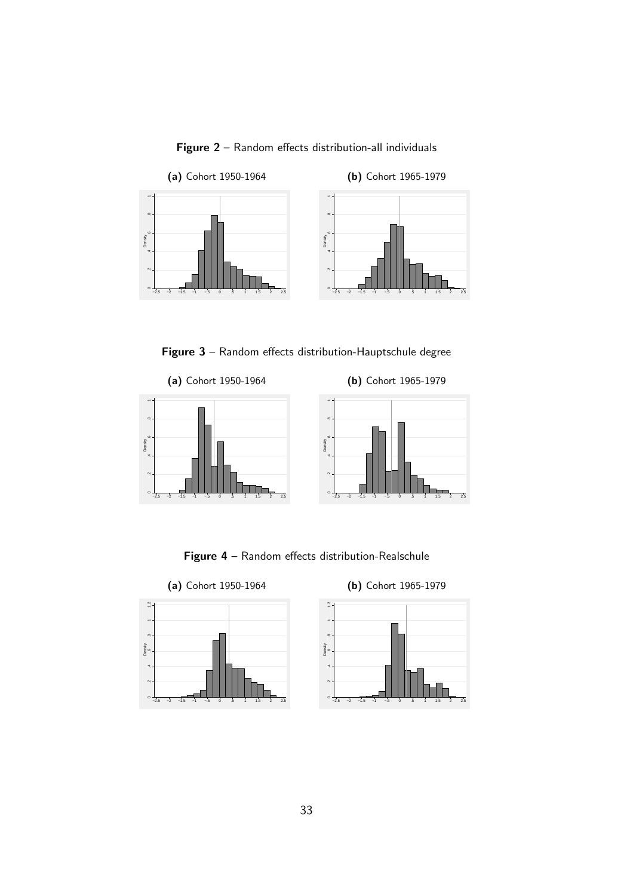

Figure 2 – Random effects distribution-all individuals

Figure 3 – Random effects distribution-Hauptschule degree





Figure 4 – Random effects distribution-Realschule





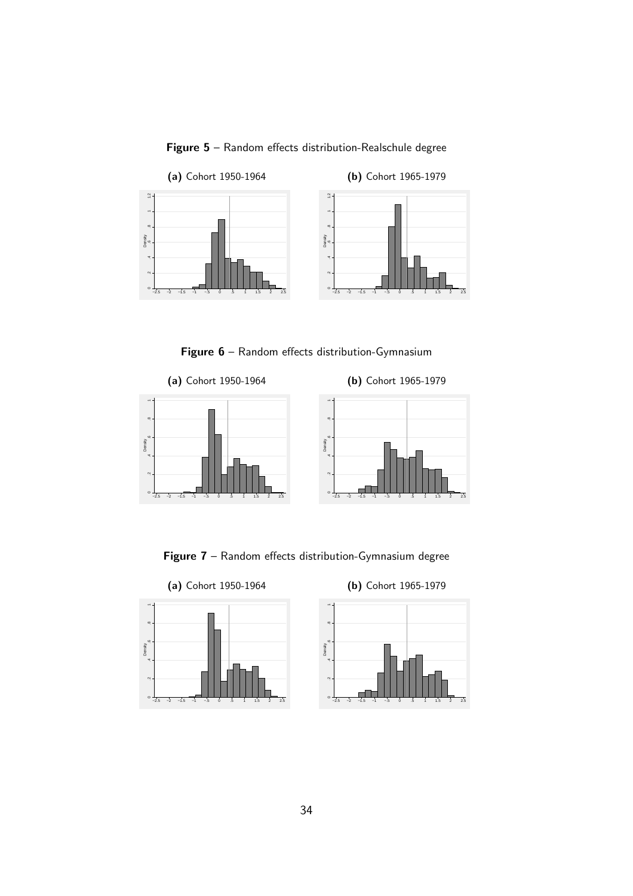

Figure 5 – Random effects distribution-Realschule degree

Figure 6 - Random effects distribution-Gymnasium





Figure 7 – Random effects distribution-Gymnasium degree





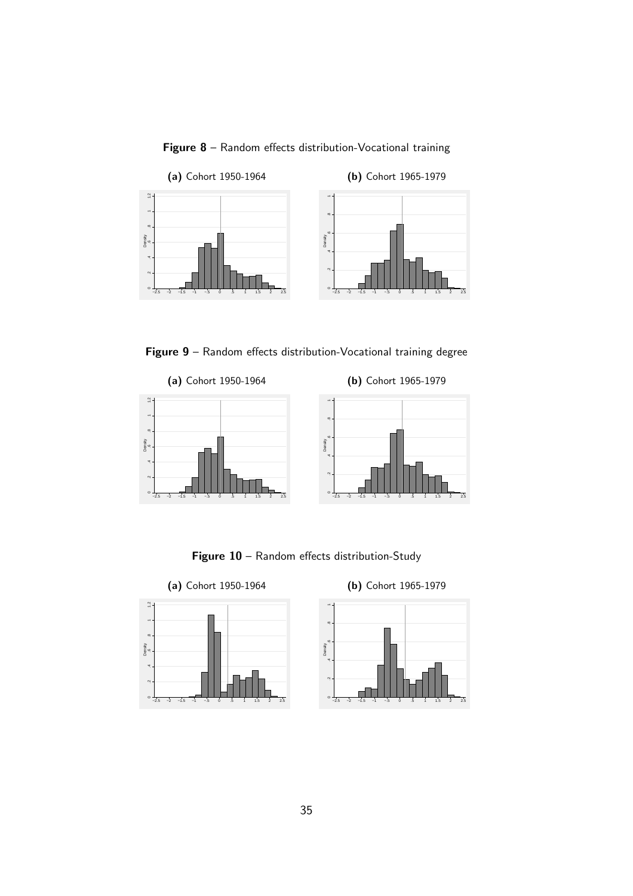

Figure 8 – Random effects distribution-Vocational training

Figure 9 – Random effects distribution-Vocational training degree





Figure 10 - Random effects distribution-Study





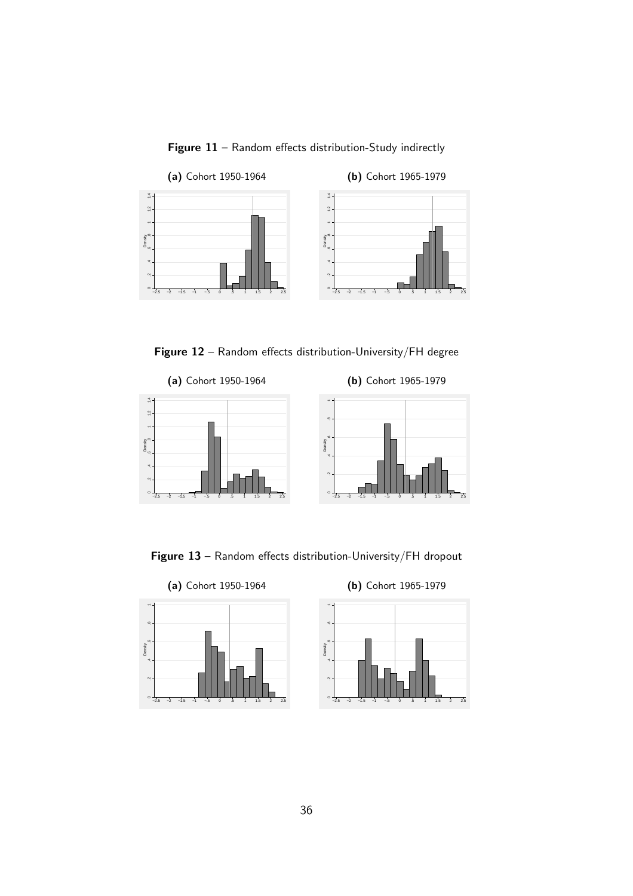

Figure 11 – Random effects distribution-Study indirectly

Figure 12 - Random effects distribution-University/FH degree





Figure 13 – Random effects distribution-University/FH dropout